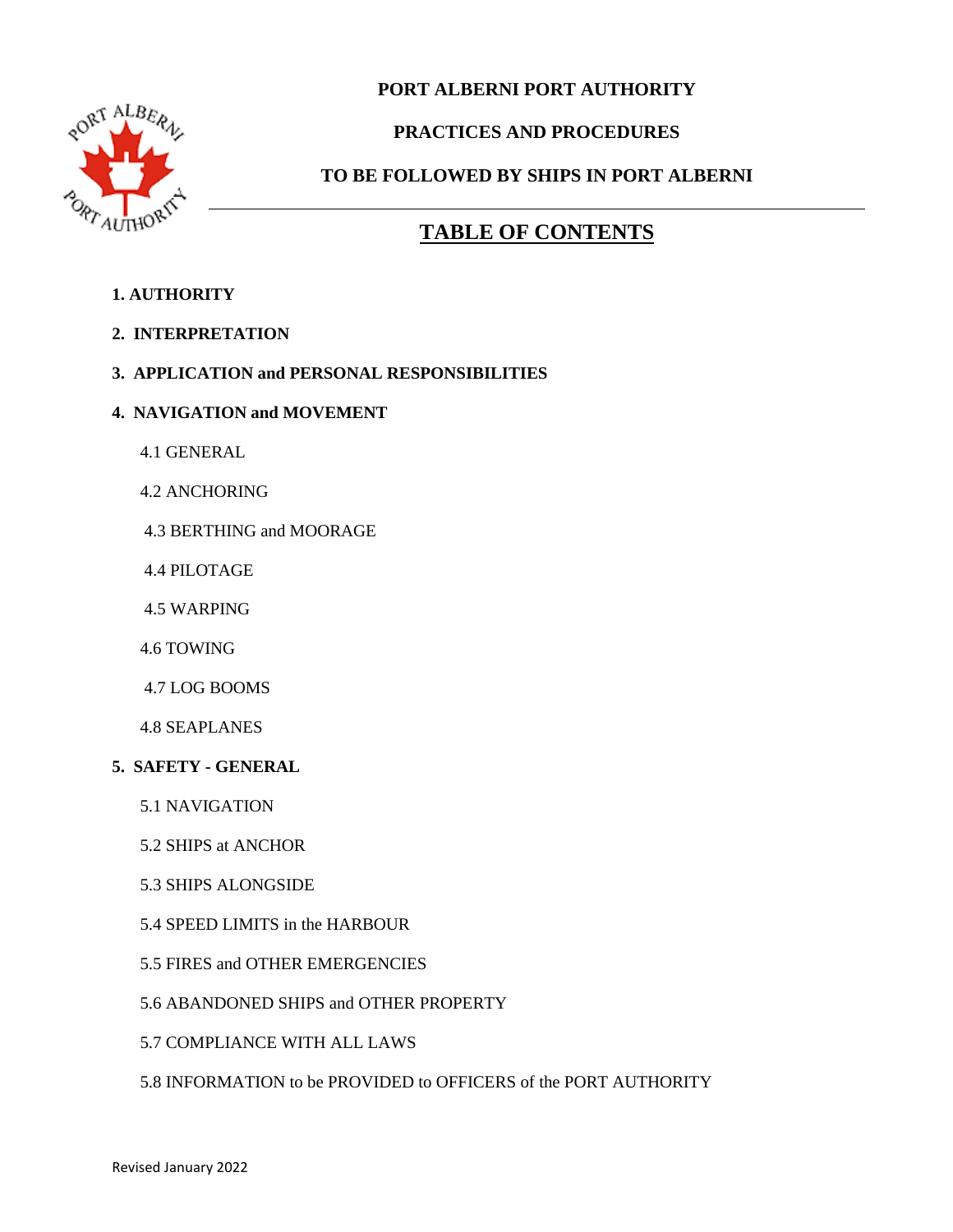

# **PORT ALBERNI PORT AUTHORITY**

# **PRACTICES AND PROCEDURES**

# **TO BE FOLLOWED BY SHIPS IN PORT ALBERNI**

# **TABLE OF CONTENTS**

- **1. AUTHORITY**
- **2. INTERPRETATION**
- **3. APPLICATION and PERSONAL RESPONSIBILITIES**
- **4. NAVIGATION and MOVEMENT**
	- 4.1 GENERAL
	- 4.2 ANCHORING
	- 4.3 BERTHING and MOORAGE
	- 4.4 PILOTAGE
	- 4.5 WARPING
	- 4.6 TOWING
	- 4.7 LOG BOOMS
	- 4.8 SEAPLANES

#### **5. SAFETY - GENERAL**

- 5.1 NAVIGATION
- 5.2 SHIPS at ANCHOR
- 5.3 SHIPS ALONGSIDE
- 5.4 SPEED LIMITS in the HARBOUR
- 5.5 FIRES and OTHER EMERGENCIES
- 5.6 ABANDONED SHIPS and OTHER PROPERTY
- 5.7 COMPLIANCE WITH ALL LAWS
- 5.8 INFORMATION to be PROVIDED to OFFICERS of the PORT AUTHORITY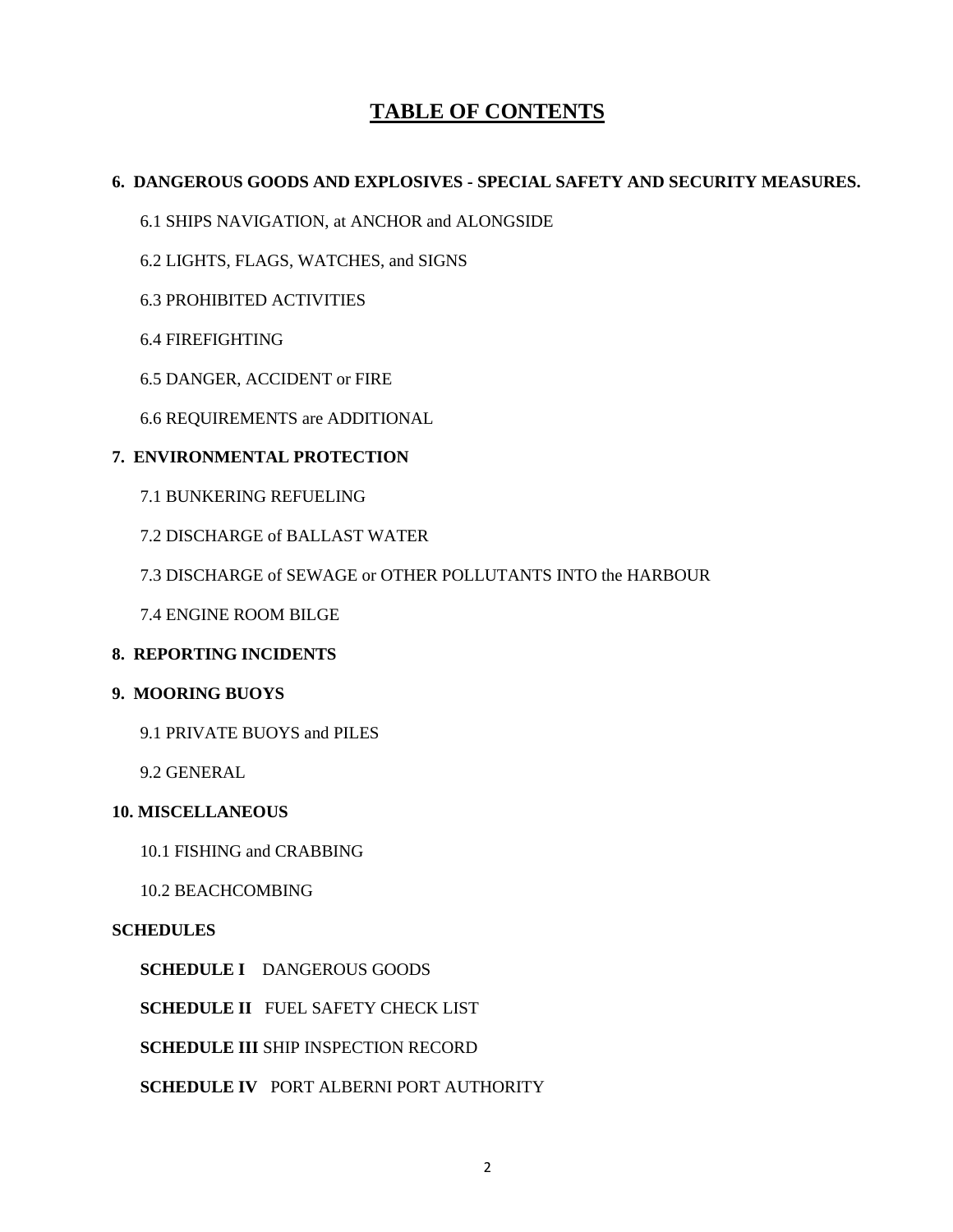# **TABLE OF CONTENTS**

### **6. DANGEROUS GOODS AND EXPLOSIVES - SPECIAL SAFETY AND SECURITY MEASURES.**

6.1 SHIPS NAVIGATION, at ANCHOR and ALONGSIDE

6.2 LIGHTS, FLAGS, WATCHES, and SIGNS

6.3 PROHIBITED ACTIVITIES

6.4 FIREFIGHTING

6.5 DANGER, ACCIDENT or FIRE

6.6 REQUIREMENTS are ADDITIONAL

#### **7. ENVIRONMENTAL PROTECTION**

7.1 BUNKERING REFUELING

7.2 DISCHARGE of BALLAST WATER

7.3 DISCHARGE of SEWAGE or OTHER POLLUTANTS INTO the HARBOUR

7.4 ENGINE ROOM BILGE

#### **8. REPORTING INCIDENTS**

### **9. MOORING BUOYS**

9.1 PRIVATE BUOYS and PILES

9.2 GENERAL

#### **10. MISCELLANEOUS**

10.1 FISHING and CRABBING

10.2 BEACHCOMBING

#### **SCHEDULES**

**SCHEDULE I** DANGEROUS GOODS

**SCHEDULE II** FUEL SAFETY CHECK LIST

**SCHEDULE III** SHIP INSPECTION RECORD

**SCHEDULE IV** PORT ALBERNI PORT AUTHORITY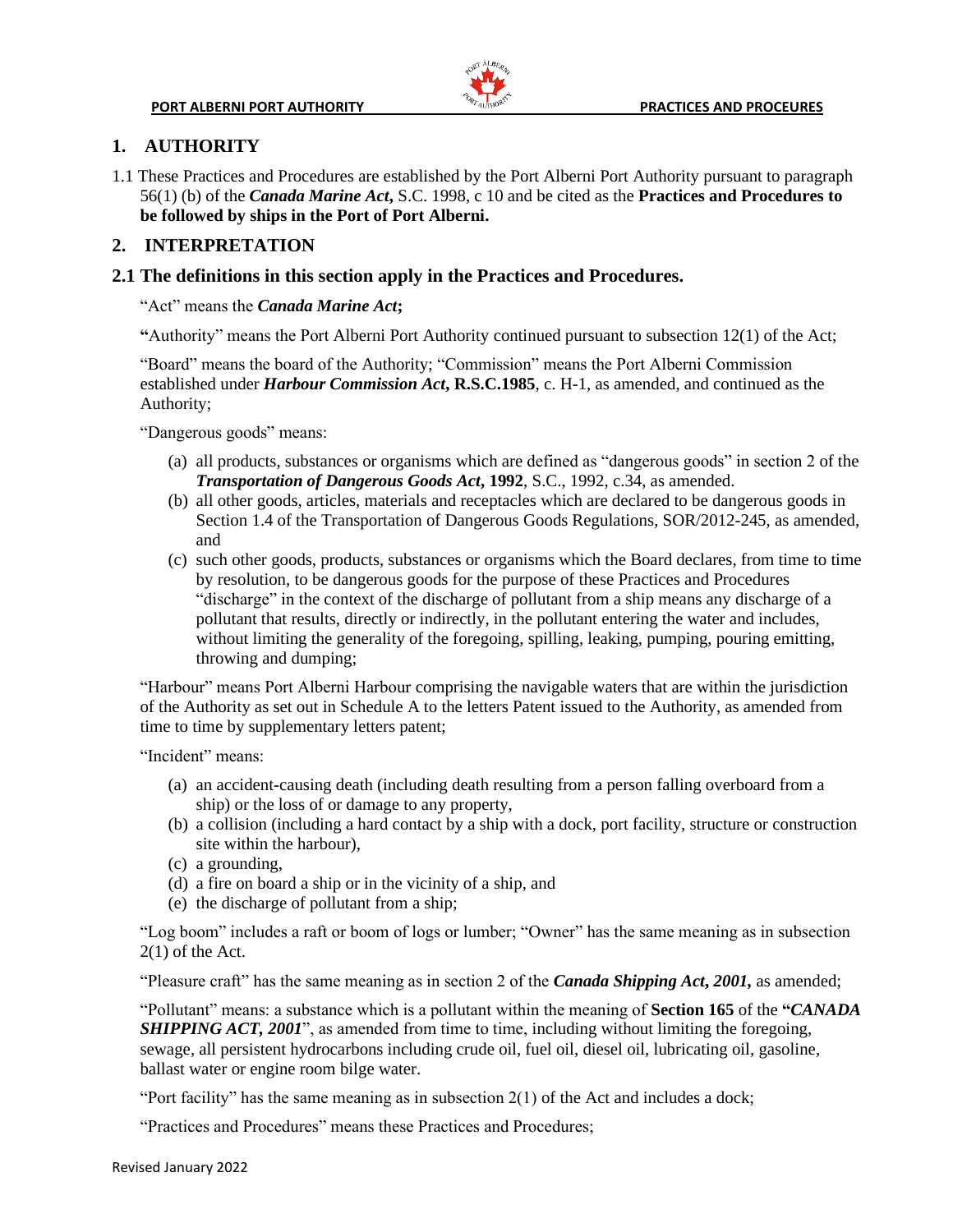

### **1. AUTHORITY**

1.1 These Practices and Procedures are established by the Port Alberni Port Authority pursuant to paragraph 56(1) (b) of the *Canada Marine Act***,** S.C. 1998, c 10 and be cited as the **Practices and Procedures to be followed by ships in the Port of Port Alberni.**

### **2. INTERPRETATION**

### **2.1 The definitions in this section apply in the Practices and Procedures.**

#### "Act" means the *Canada Marine Act***;**

**"**Authority" means the Port Alberni Port Authority continued pursuant to subsection 12(1) of the Act;

"Board" means the board of the Authority; "Commission" means the Port Alberni Commission established under *Harbour Commission Act***, R.S.C.1985**, c. H-1, as amended, and continued as the Authority;

"Dangerous goods" means:

- (a) all products, substances or organisms which are defined as "dangerous goods" in section 2 of the *Transportation of Dangerous Goods Act***, 1992**, S.C., 1992, c.34, as amended.
- (b) all other goods, articles, materials and receptacles which are declared to be dangerous goods in Section 1.4 of the Transportation of Dangerous Goods Regulations, SOR/2012-245, as amended, and
- (c) such other goods, products, substances or organisms which the Board declares, from time to time by resolution, to be dangerous goods for the purpose of these Practices and Procedures "discharge" in the context of the discharge of pollutant from a ship means any discharge of a pollutant that results, directly or indirectly, in the pollutant entering the water and includes, without limiting the generality of the foregoing, spilling, leaking, pumping, pouring emitting, throwing and dumping;

"Harbour" means Port Alberni Harbour comprising the navigable waters that are within the jurisdiction of the Authority as set out in Schedule A to the letters Patent issued to the Authority, as amended from time to time by supplementary letters patent;

"Incident" means:

- (a) an accident-causing death (including death resulting from a person falling overboard from a ship) or the loss of or damage to any property,
- (b) a collision (including a hard contact by a ship with a dock, port facility, structure or construction site within the harbour),
- (c) a grounding,
- (d) a fire on board a ship or in the vicinity of a ship, and
- (e) the discharge of pollutant from a ship;

"Log boom" includes a raft or boom of logs or lumber; "Owner" has the same meaning as in subsection 2(1) of the Act.

"Pleasure craft" has the same meaning as in section 2 of the *Canada Shipping Act***,** *2001,* as amended;

"Pollutant" means: a substance which is a pollutant within the meaning of **Section 165** of the **"***CANADA SHIPPING ACT, 2001*", as amended from time to time, including without limiting the foregoing, sewage, all persistent hydrocarbons including crude oil, fuel oil, diesel oil, lubricating oil, gasoline, ballast water or engine room bilge water.

"Port facility" has the same meaning as in subsection 2(1) of the Act and includes a dock;

"Practices and Procedures" means these Practices and Procedures;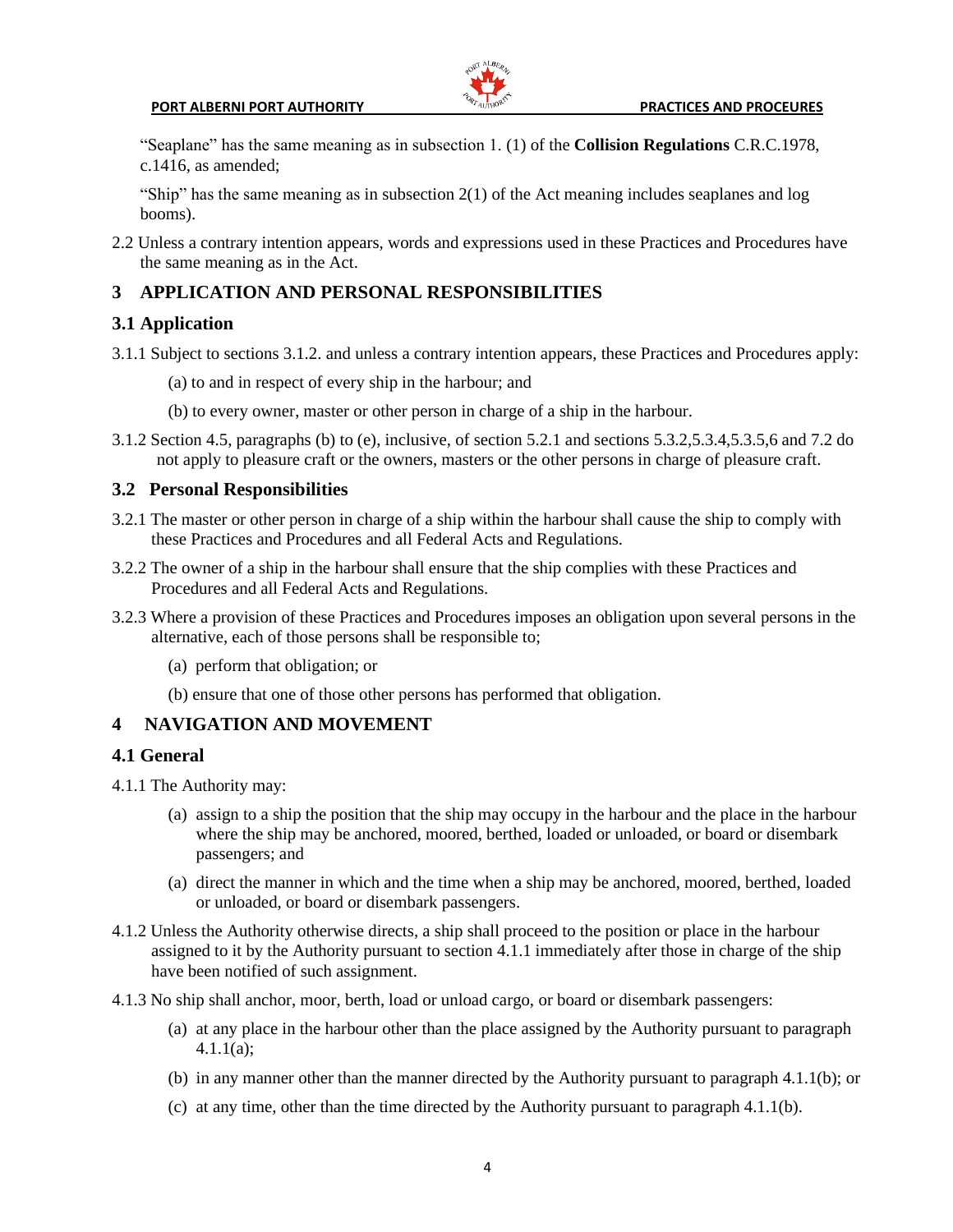

"Seaplane" has the same meaning as in subsection 1. (1) of the **Collision Regulations** C.R.C.1978, c.1416, as amended;

"Ship" has the same meaning as in subsection  $2(1)$  of the Act meaning includes seaplanes and log booms).

2.2 Unless a contrary intention appears, words and expressions used in these Practices and Procedures have the same meaning as in the Act.

# **3 APPLICATION AND PERSONAL RESPONSIBILITIES**

#### **3.1 Application**

- 3.1.1 Subject to sections 3.1.2. and unless a contrary intention appears, these Practices and Procedures apply:
	- (a) to and in respect of every ship in the harbour; and
	- (b) to every owner, master or other person in charge of a ship in the harbour.
- 3.1.2 Section 4.5, paragraphs (b) to (e), inclusive, of section 5.2.1 and sections 5.3.2,5.3.4,5.3.5,6 and 7.2 do not apply to pleasure craft or the owners, masters or the other persons in charge of pleasure craft.

#### **3.2 Personal Responsibilities**

- 3.2.1 The master or other person in charge of a ship within the harbour shall cause the ship to comply with these Practices and Procedures and all Federal Acts and Regulations.
- 3.2.2 The owner of a ship in the harbour shall ensure that the ship complies with these Practices and Procedures and all Federal Acts and Regulations.
- 3.2.3 Where a provision of these Practices and Procedures imposes an obligation upon several persons in the alternative, each of those persons shall be responsible to;
	- (a) perform that obligation; or
	- (b) ensure that one of those other persons has performed that obligation.

#### **4 NAVIGATION AND MOVEMENT**

#### **4.1 General**

4.1.1 The Authority may:

- (a) assign to a ship the position that the ship may occupy in the harbour and the place in the harbour where the ship may be anchored, moored, berthed, loaded or unloaded, or board or disembark passengers; and
- (a) direct the manner in which and the time when a ship may be anchored, moored, berthed, loaded or unloaded, or board or disembark passengers.
- 4.1.2 Unless the Authority otherwise directs, a ship shall proceed to the position or place in the harbour assigned to it by the Authority pursuant to section 4.1.1 immediately after those in charge of the ship have been notified of such assignment.
- 4.1.3 No ship shall anchor, moor, berth, load or unload cargo, or board or disembark passengers:
	- (a) at any place in the harbour other than the place assigned by the Authority pursuant to paragraph 4.1.1(a);
	- (b) in any manner other than the manner directed by the Authority pursuant to paragraph 4.1.1(b); or
	- (c) at any time, other than the time directed by the Authority pursuant to paragraph 4.1.1(b).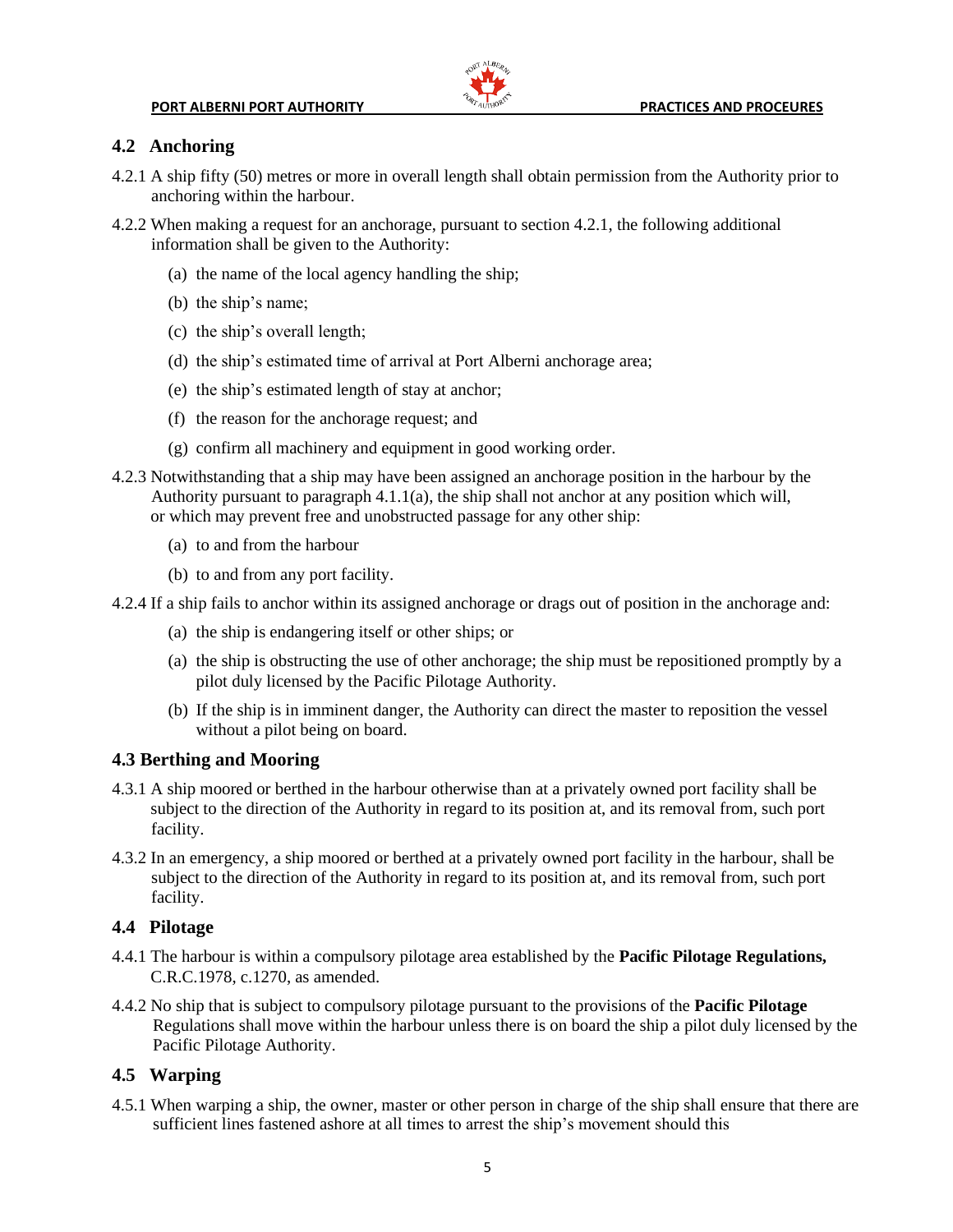

#### **4.2 Anchoring**

- 4.2.1 A ship fifty (50) metres or more in overall length shall obtain permission from the Authority prior to anchoring within the harbour.
- 4.2.2 When making a request for an anchorage, pursuant to section 4.2.1, the following additional information shall be given to the Authority:
	- (a) the name of the local agency handling the ship;
	- (b) the ship's name;
	- (c) the ship's overall length;
	- (d) the ship's estimated time of arrival at Port Alberni anchorage area;
	- (e) the ship's estimated length of stay at anchor;
	- (f) the reason for the anchorage request; and
	- (g) confirm all machinery and equipment in good working order.
- 4.2.3 Notwithstanding that a ship may have been assigned an anchorage position in the harbour by the Authority pursuant to paragraph  $4.1.1(a)$ , the ship shall not anchor at any position which will, or which may prevent free and unobstructed passage for any other ship:
	- (a) to and from the harbour
	- (b) to and from any port facility.
- 4.2.4 If a ship fails to anchor within its assigned anchorage or drags out of position in the anchorage and:
	- (a) the ship is endangering itself or other ships; or
	- (a) the ship is obstructing the use of other anchorage; the ship must be repositioned promptly by a pilot duly licensed by the Pacific Pilotage Authority.
	- (b) If the ship is in imminent danger, the Authority can direct the master to reposition the vessel without a pilot being on board.

#### **4.3 Berthing and Mooring**

- 4.3.1 A ship moored or berthed in the harbour otherwise than at a privately owned port facility shall be subject to the direction of the Authority in regard to its position at, and its removal from, such port facility.
- 4.3.2 In an emergency, a ship moored or berthed at a privately owned port facility in the harbour, shall be subject to the direction of the Authority in regard to its position at, and its removal from, such port facility.

#### **4.4 Pilotage**

- 4.4.1 The harbour is within a compulsory pilotage area established by the **Pacific Pilotage Regulations,** C.R.C.1978, c.1270, as amended.
- 4.4.2 No ship that is subject to compulsory pilotage pursuant to the provisions of the **Pacific Pilotage** Regulations shall move within the harbour unless there is on board the ship a pilot duly licensed by the Pacific Pilotage Authority.

### **4.5 Warping**

4.5.1 When warping a ship, the owner, master or other person in charge of the ship shall ensure that there are sufficient lines fastened ashore at all times to arrest the ship's movement should this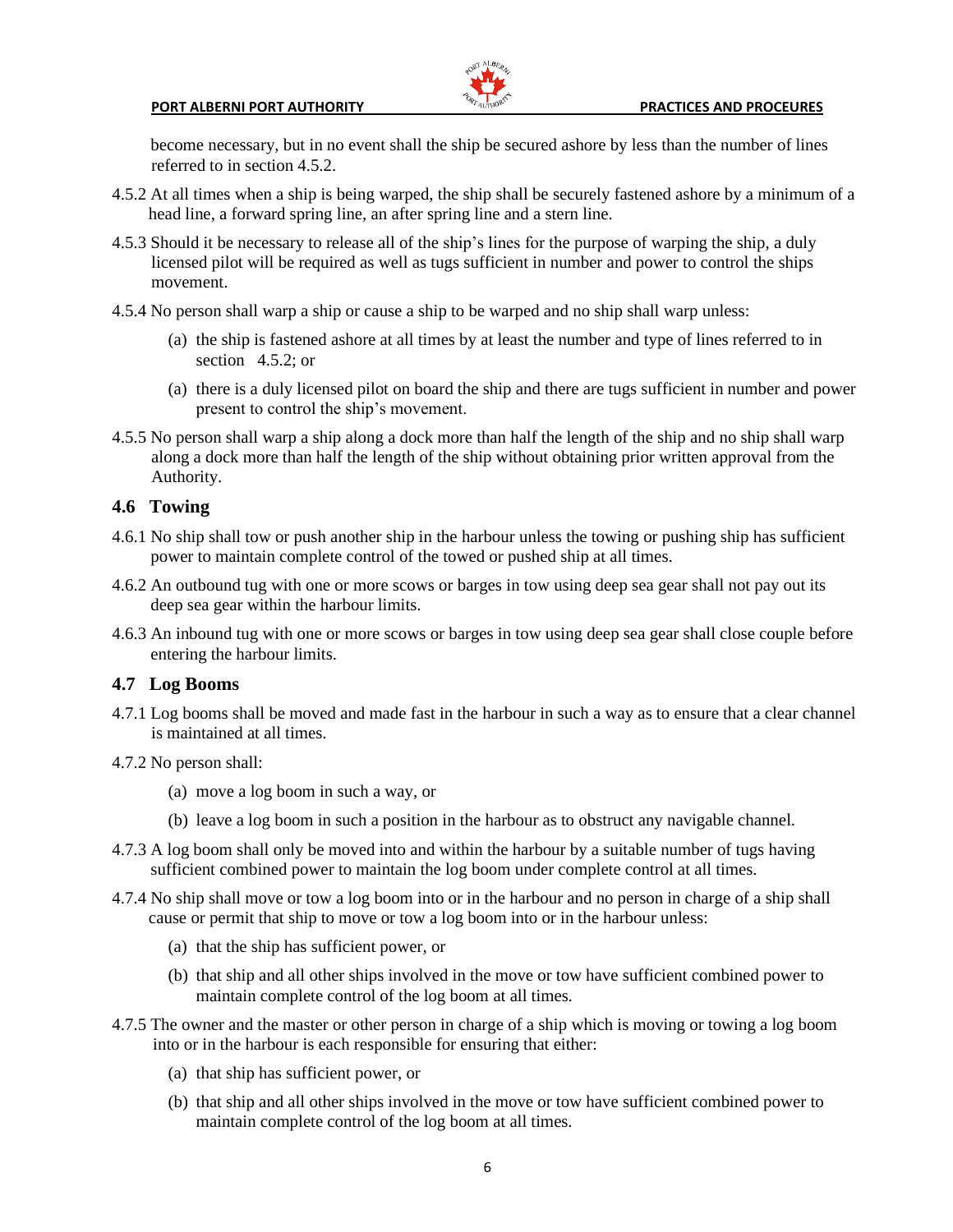

 become necessary, but in no event shall the ship be secured ashore by less than the number of lines referred to in section 4.5.2.

- 4.5.2 At all times when a ship is being warped, the ship shall be securely fastened ashore by a minimum of a head line, a forward spring line, an after spring line and a stern line.
- 4.5.3 Should it be necessary to release all of the ship's lines for the purpose of warping the ship, a duly licensed pilot will be required as well as tugs sufficient in number and power to control the ships movement.
- 4.5.4 No person shall warp a ship or cause a ship to be warped and no ship shall warp unless:
	- (a) the ship is fastened ashore at all times by at least the number and type of lines referred to in section 4.5.2; or
	- (a) there is a duly licensed pilot on board the ship and there are tugs sufficient in number and power present to control the ship's movement.
- 4.5.5 No person shall warp a ship along a dock more than half the length of the ship and no ship shall warp along a dock more than half the length of the ship without obtaining prior written approval from the Authority.

#### **4.6 Towing**

- 4.6.1 No ship shall tow or push another ship in the harbour unless the towing or pushing ship has sufficient power to maintain complete control of the towed or pushed ship at all times.
- 4.6.2 An outbound tug with one or more scows or barges in tow using deep sea gear shall not pay out its deep sea gear within the harbour limits.
- 4.6.3 An inbound tug with one or more scows or barges in tow using deep sea gear shall close couple before entering the harbour limits.

#### **4.7 Log Booms**

- 4.7.1 Log booms shall be moved and made fast in the harbour in such a way as to ensure that a clear channel is maintained at all times.
- 4.7.2 No person shall:
	- (a) move a log boom in such a way, or
	- (b) leave a log boom in such a position in the harbour as to obstruct any navigable channel.
- 4.7.3 A log boom shall only be moved into and within the harbour by a suitable number of tugs having sufficient combined power to maintain the log boom under complete control at all times.
- 4.7.4 No ship shall move or tow a log boom into or in the harbour and no person in charge of a ship shall cause or permit that ship to move or tow a log boom into or in the harbour unless:
	- (a) that the ship has sufficient power, or
	- (b) that ship and all other ships involved in the move or tow have sufficient combined power to maintain complete control of the log boom at all times.
- 4.7.5 The owner and the master or other person in charge of a ship which is moving or towing a log boom into or in the harbour is each responsible for ensuring that either:
	- (a) that ship has sufficient power, or
	- (b) that ship and all other ships involved in the move or tow have sufficient combined power to maintain complete control of the log boom at all times.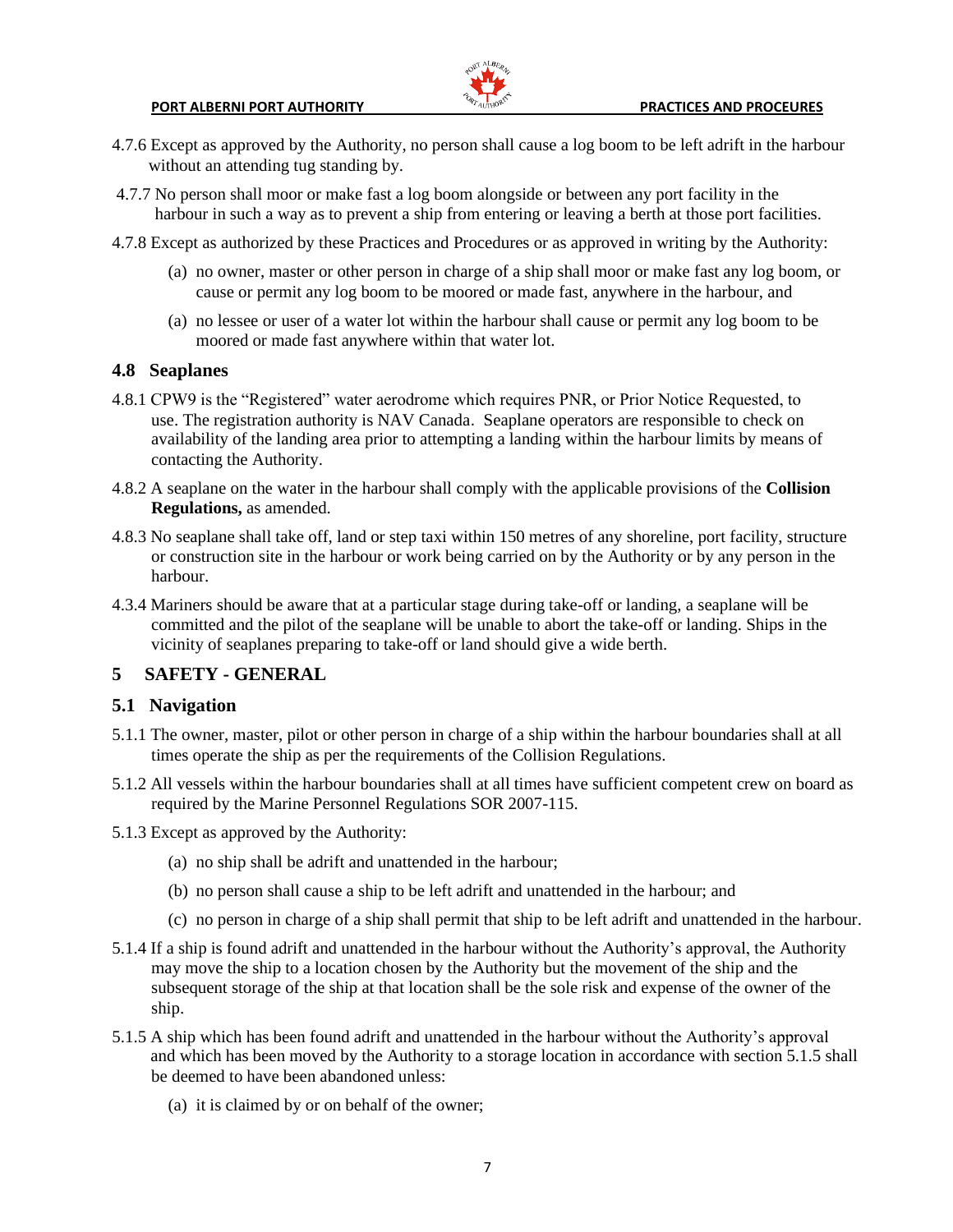

- 4.7.6 Except as approved by the Authority, no person shall cause a log boom to be left adrift in the harbour without an attending tug standing by.
- 4.7.7 No person shall moor or make fast a log boom alongside or between any port facility in the harbour in such a way as to prevent a ship from entering or leaving a berth at those port facilities.
- 4.7.8 Except as authorized by these Practices and Procedures or as approved in writing by the Authority:
	- (a) no owner, master or other person in charge of a ship shall moor or make fast any log boom, or cause or permit any log boom to be moored or made fast, anywhere in the harbour, and
	- (a) no lessee or user of a water lot within the harbour shall cause or permit any log boom to be moored or made fast anywhere within that water lot.

#### **4.8 Seaplanes**

- 4.8.1 CPW9 is the "Registered" water aerodrome which requires PNR, or Prior Notice Requested, to use. The registration authority is NAV Canada. Seaplane operators are responsible to check on availability of the landing area prior to attempting a landing within the harbour limits by means of contacting the Authority.
- 4.8.2 A seaplane on the water in the harbour shall comply with the applicable provisions of the **Collision Regulations,** as amended.
- 4.8.3 No seaplane shall take off, land or step taxi within 150 metres of any shoreline, port facility, structure or construction site in the harbour or work being carried on by the Authority or by any person in the harbour.
- 4.3.4 Mariners should be aware that at a particular stage during take-off or landing, a seaplane will be committed and the pilot of the seaplane will be unable to abort the take-off or landing. Ships in the vicinity of seaplanes preparing to take-off or land should give a wide berth.

# **5 SAFETY - GENERAL**

#### **5.1 Navigation**

- 5.1.1 The owner, master, pilot or other person in charge of a ship within the harbour boundaries shall at all times operate the ship as per the requirements of the Collision Regulations.
- 5.1.2 All vessels within the harbour boundaries shall at all times have sufficient competent crew on board as required by the Marine Personnel Regulations SOR 2007-115.
- 5.1.3 Except as approved by the Authority:
	- (a) no ship shall be adrift and unattended in the harbour;
	- (b) no person shall cause a ship to be left adrift and unattended in the harbour; and
	- (c) no person in charge of a ship shall permit that ship to be left adrift and unattended in the harbour.
- 5.1.4 If a ship is found adrift and unattended in the harbour without the Authority's approval, the Authority may move the ship to a location chosen by the Authority but the movement of the ship and the subsequent storage of the ship at that location shall be the sole risk and expense of the owner of the ship.
- 5.1.5 A ship which has been found adrift and unattended in the harbour without the Authority's approval and which has been moved by the Authority to a storage location in accordance with section 5.1.5 shall be deemed to have been abandoned unless:
	- (a) it is claimed by or on behalf of the owner;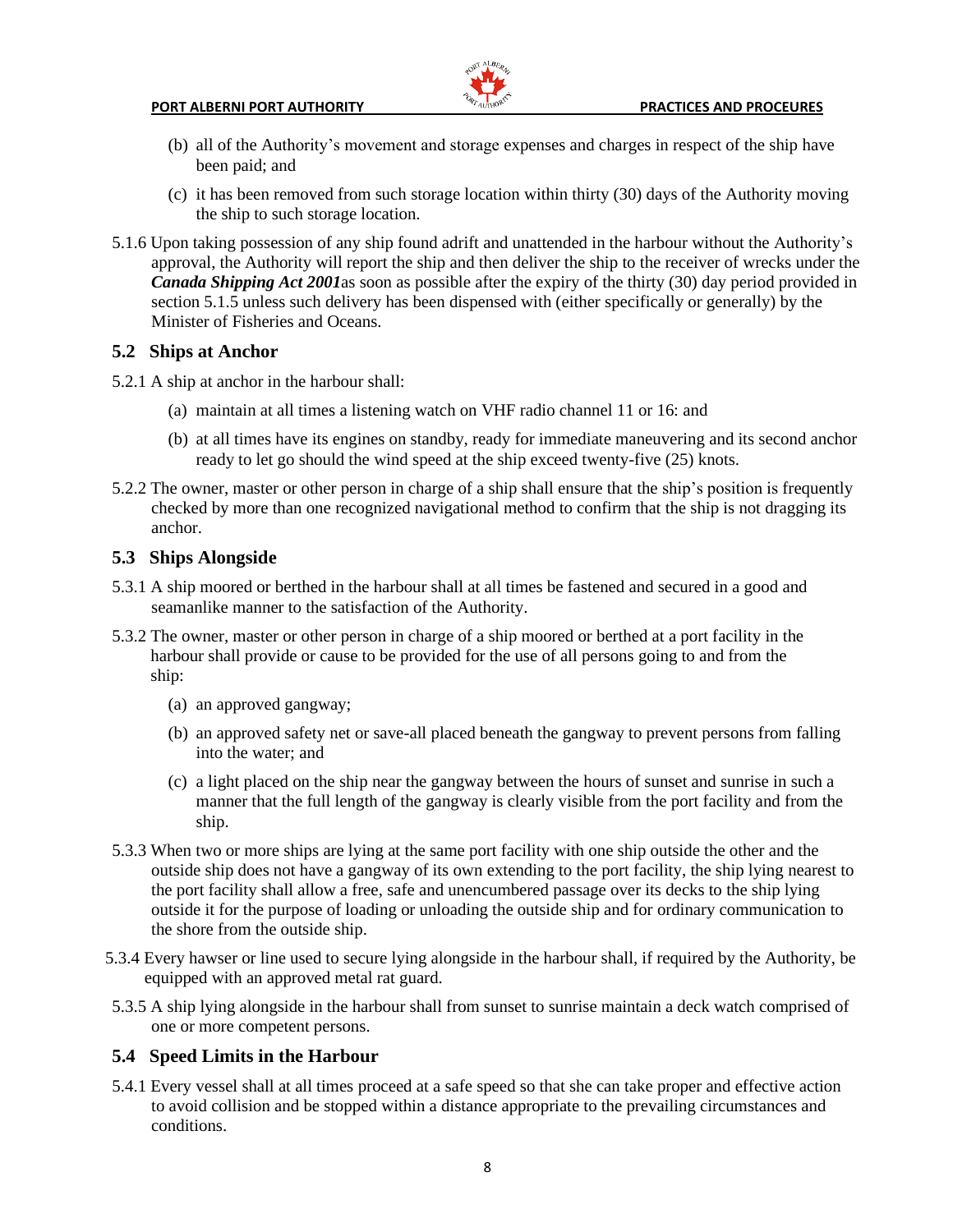

- (b) all of the Authority's movement and storage expenses and charges in respect of the ship have been paid; and
- (c) it has been removed from such storage location within thirty (30) days of the Authority moving the ship to such storage location.
- 5.1.6 Upon taking possession of any ship found adrift and unattended in the harbour without the Authority's approval, the Authority will report the ship and then deliver the ship to the receiver of wrecks under the *Canada Shipping Act 2001*as soon as possible after the expiry of the thirty (30) day period provided in section 5.1.5 unless such delivery has been dispensed with (either specifically or generally) by the Minister of Fisheries and Oceans.

#### **5.2 Ships at Anchor**

- 5.2.1 A ship at anchor in the harbour shall:
	- (a) maintain at all times a listening watch on VHF radio channel 11 or 16: and
	- (b) at all times have its engines on standby, ready for immediate maneuvering and its second anchor ready to let go should the wind speed at the ship exceed twenty-five (25) knots.
- 5.2.2 The owner, master or other person in charge of a ship shall ensure that the ship's position is frequently checked by more than one recognized navigational method to confirm that the ship is not dragging its anchor.

#### **5.3 Ships Alongside**

- 5.3.1 A ship moored or berthed in the harbour shall at all times be fastened and secured in a good and seamanlike manner to the satisfaction of the Authority.
- 5.3.2 The owner, master or other person in charge of a ship moored or berthed at a port facility in the harbour shall provide or cause to be provided for the use of all persons going to and from the ship:
	- (a) an approved gangway;
	- (b) an approved safety net or save-all placed beneath the gangway to prevent persons from falling into the water; and
	- (c) a light placed on the ship near the gangway between the hours of sunset and sunrise in such a manner that the full length of the gangway is clearly visible from the port facility and from the ship.
- 5.3.3 When two or more ships are lying at the same port facility with one ship outside the other and the outside ship does not have a gangway of its own extending to the port facility, the ship lying nearest to the port facility shall allow a free, safe and unencumbered passage over its decks to the ship lying outside it for the purpose of loading or unloading the outside ship and for ordinary communication to the shore from the outside ship.
- 5.3.4 Every hawser or line used to secure lying alongside in the harbour shall, if required by the Authority, be equipped with an approved metal rat guard.
- 5.3.5 A ship lying alongside in the harbour shall from sunset to sunrise maintain a deck watch comprised of one or more competent persons.

#### **5.4 Speed Limits in the Harbour**

5.4.1 Every vessel shall at all times proceed at a safe speed so that she can take proper and effective action to avoid collision and be stopped within a distance appropriate to the prevailing circumstances and conditions.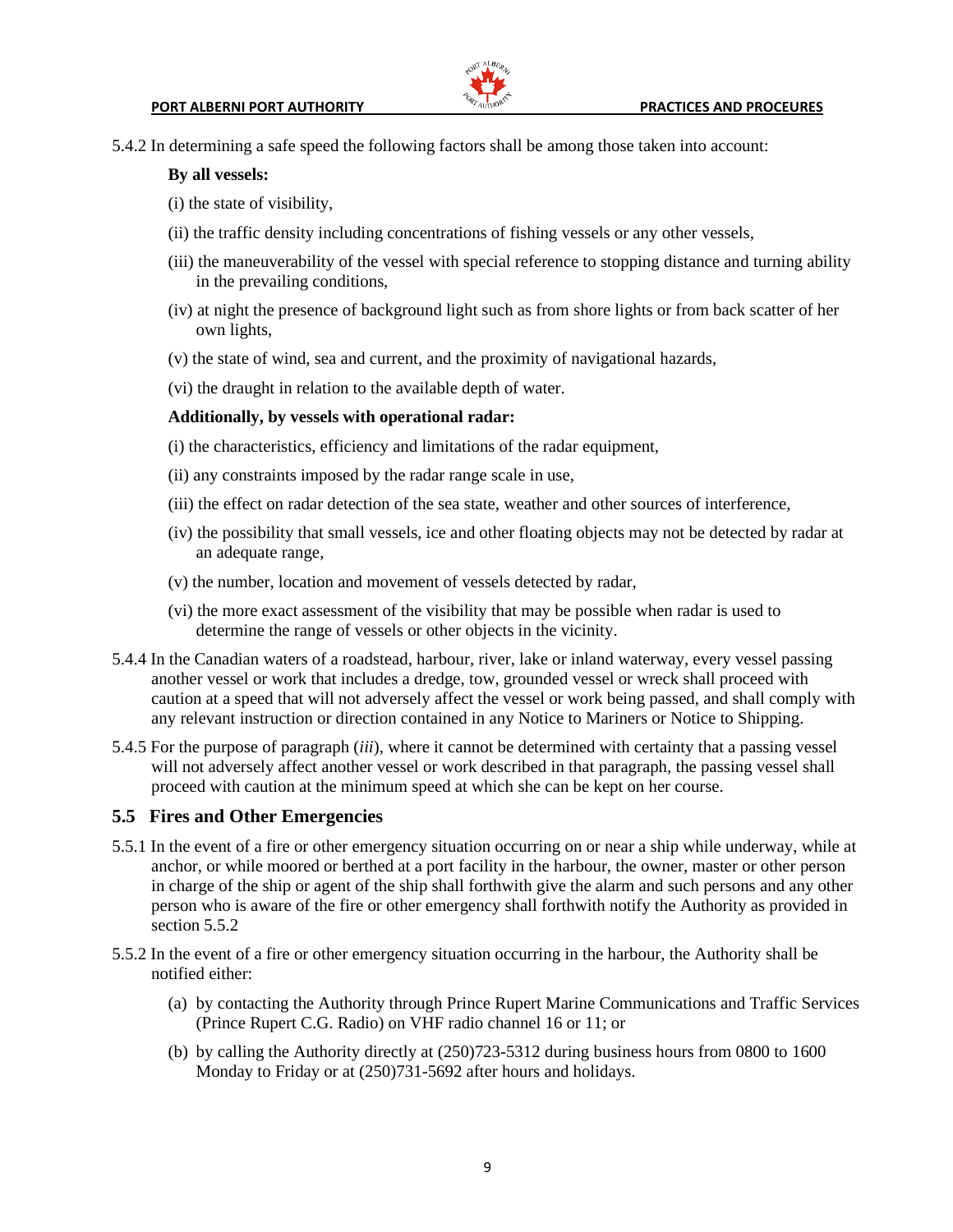

5.4.2 In determining a safe speed the following factors shall be among those taken into account:

#### **By all vessels:**

- (i) the state of visibility,
- (ii) the traffic density including concentrations of fishing vessels or any other vessels,
- (iii) the maneuverability of the vessel with special reference to stopping distance and turning ability in the prevailing conditions,
- (iv) at night the presence of background light such as from shore lights or from back scatter of her own lights,
- (v) the state of wind, sea and current, and the proximity of navigational hazards,
- (vi) the draught in relation to the available depth of water.

#### **Additionally, by vessels with operational radar:**

- (i) the characteristics, efficiency and limitations of the radar equipment,
- (ii) any constraints imposed by the radar range scale in use,
- (iii) the effect on radar detection of the sea state, weather and other sources of interference,
- (iv) the possibility that small vessels, ice and other floating objects may not be detected by radar at an adequate range,
- (v) the number, location and movement of vessels detected by radar,
- (vi) the more exact assessment of the visibility that may be possible when radar is used to determine the range of vessels or other objects in the vicinity.
- 5.4.4 In the Canadian waters of a roadstead, harbour, river, lake or inland waterway, every vessel passing another vessel or work that includes a dredge, tow, grounded vessel or wreck shall proceed with caution at a speed that will not adversely affect the vessel or work being passed, and shall comply with any relevant instruction or direction contained in any Notice to Mariners or Notice to Shipping.
- 5.4.5 For the purpose of paragraph (*iii*), where it cannot be determined with certainty that a passing vessel will not adversely affect another vessel or work described in that paragraph, the passing vessel shall proceed with caution at the minimum speed at which she can be kept on her course.

#### **5.5 Fires and Other Emergencies**

- 5.5.1 In the event of a fire or other emergency situation occurring on or near a ship while underway, while at anchor, or while moored or berthed at a port facility in the harbour, the owner, master or other person in charge of the ship or agent of the ship shall forthwith give the alarm and such persons and any other person who is aware of the fire or other emergency shall forthwith notify the Authority as provided in section 5.5.2
- 5.5.2 In the event of a fire or other emergency situation occurring in the harbour, the Authority shall be notified either:
	- (a) by contacting the Authority through Prince Rupert Marine Communications and Traffic Services (Prince Rupert C.G. Radio) on VHF radio channel 16 or 11; or
	- (b) by calling the Authority directly at (250)723-5312 during business hours from 0800 to 1600 Monday to Friday or at (250)731-5692 after hours and holidays.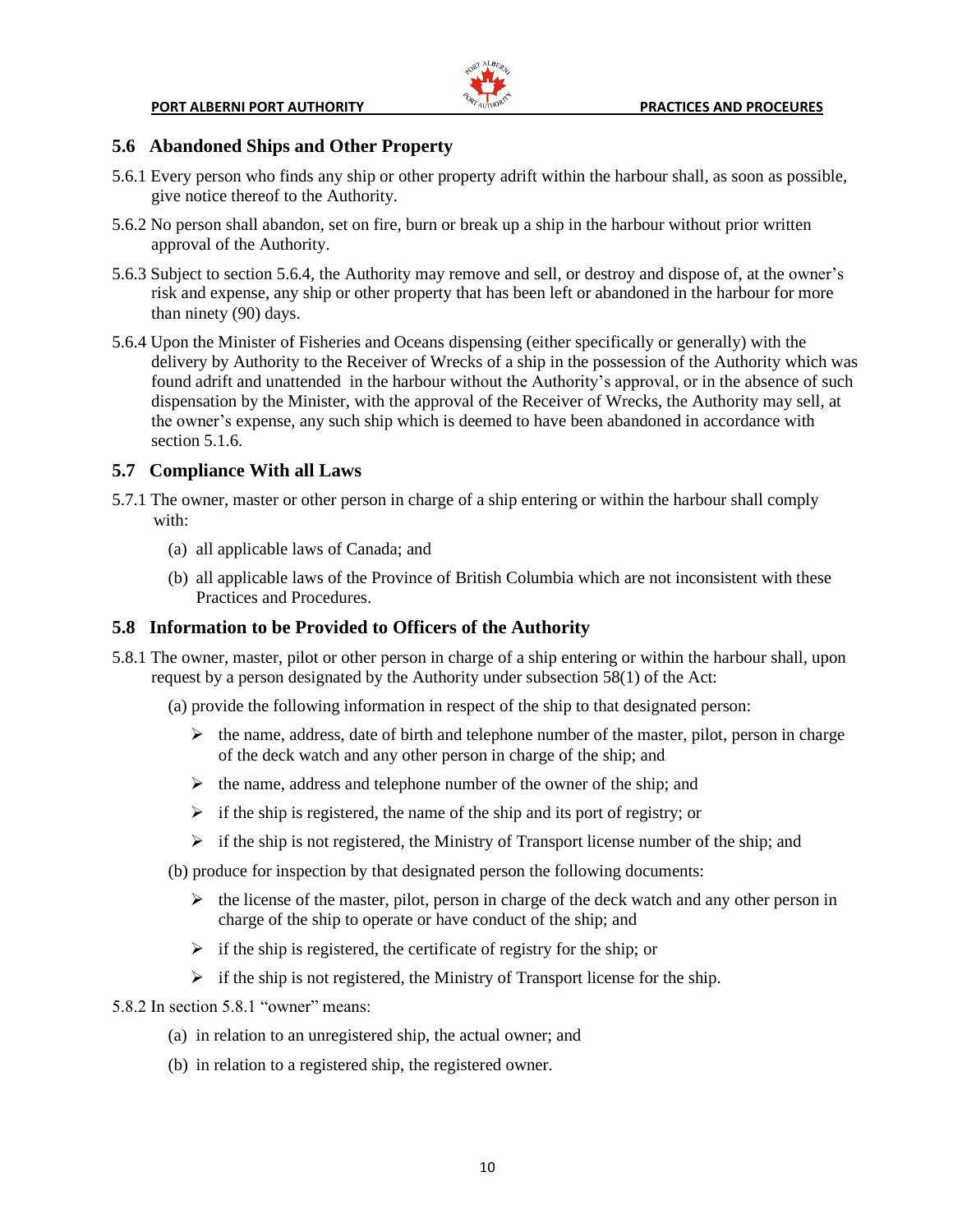

#### **5.6 Abandoned Ships and Other Property**

- 5.6.1 Every person who finds any ship or other property adrift within the harbour shall, as soon as possible, give notice thereof to the Authority.
- 5.6.2 No person shall abandon, set on fire, burn or break up a ship in the harbour without prior written approval of the Authority.
- 5.6.3 Subject to section 5.6.4, the Authority may remove and sell, or destroy and dispose of, at the owner's risk and expense, any ship or other property that has been left or abandoned in the harbour for more than ninety (90) days.
- 5.6.4 Upon the Minister of Fisheries and Oceans dispensing (either specifically or generally) with the delivery by Authority to the Receiver of Wrecks of a ship in the possession of the Authority which was found adrift and unattended in the harbour without the Authority's approval, or in the absence of such dispensation by the Minister, with the approval of the Receiver of Wrecks, the Authority may sell, at the owner's expense, any such ship which is deemed to have been abandoned in accordance with section 5.1.6.

#### **5.7 Compliance With all Laws**

- 5.7.1 The owner, master or other person in charge of a ship entering or within the harbour shall comply with:
	- (a) all applicable laws of Canada; and
	- (b) all applicable laws of the Province of British Columbia which are not inconsistent with these Practices and Procedures.

#### **5.8 Information to be Provided to Officers of the Authority**

- 5.8.1 The owner, master, pilot or other person in charge of a ship entering or within the harbour shall, upon request by a person designated by the Authority under subsection 58(1) of the Act:
	- (a) provide the following information in respect of the ship to that designated person:
		- $\triangleright$  the name, address, date of birth and telephone number of the master, pilot, person in charge of the deck watch and any other person in charge of the ship; and
		- $\triangleright$  the name, address and telephone number of the owner of the ship; and
		- $\triangleright$  if the ship is registered, the name of the ship and its port of registry; or
		- $\triangleright$  if the ship is not registered, the Ministry of Transport license number of the ship; and

(b) produce for inspection by that designated person the following documents:

- $\triangleright$  the license of the master, pilot, person in charge of the deck watch and any other person in charge of the ship to operate or have conduct of the ship; and
- $\triangleright$  if the ship is registered, the certificate of registry for the ship; or
- $\triangleright$  if the ship is not registered, the Ministry of Transport license for the ship.
- 5.8.2 In section 5.8.1 "owner" means:
	- (a) in relation to an unregistered ship, the actual owner; and
	- (b) in relation to a registered ship, the registered owner.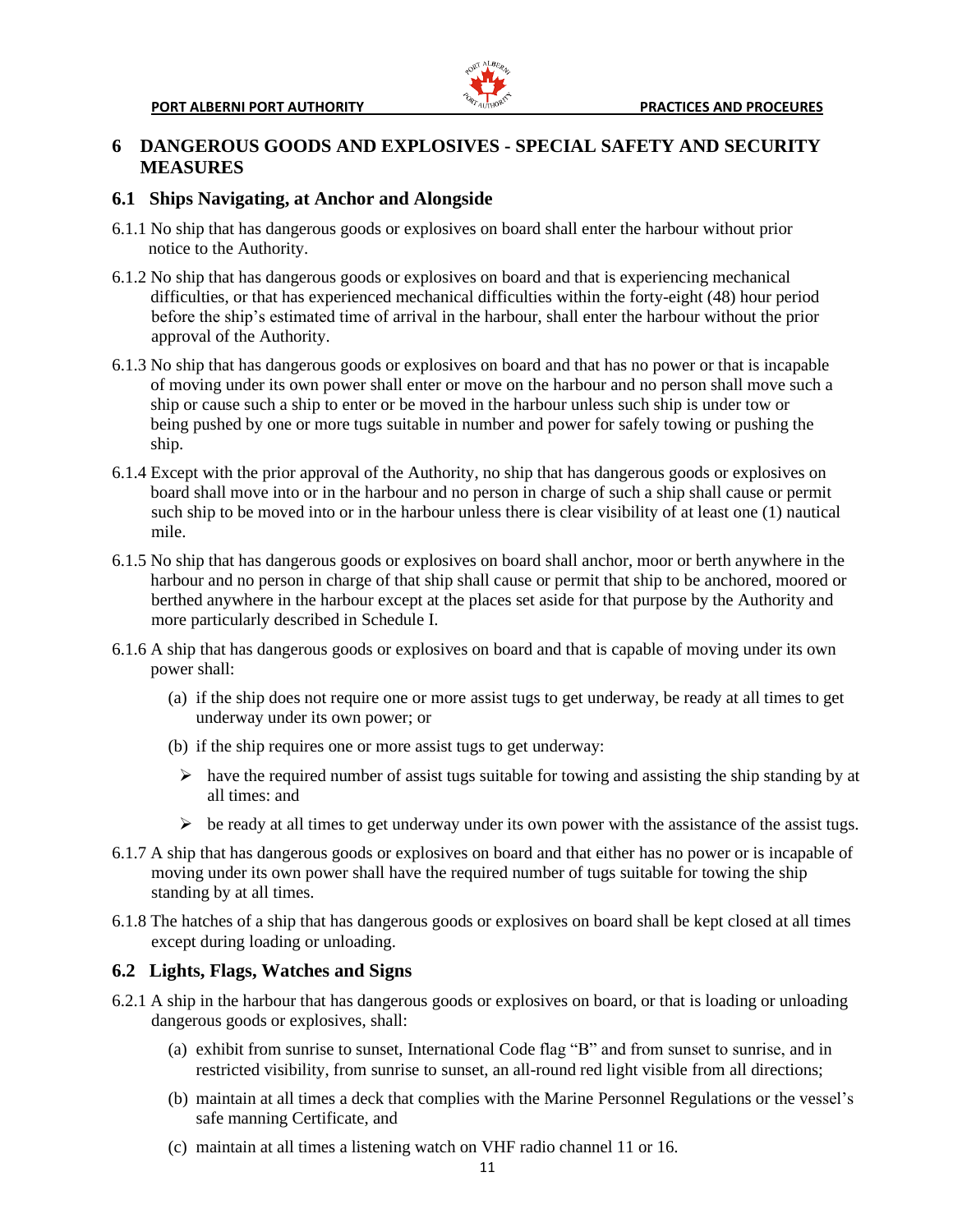

### **6 DANGEROUS GOODS AND EXPLOSIVES - SPECIAL SAFETY AND SECURITY MEASURES**

#### **6.1 Ships Navigating, at Anchor and Alongside**

- 6.1.1 No ship that has dangerous goods or explosives on board shall enter the harbour without prior notice to the Authority.
- 6.1.2 No ship that has dangerous goods or explosives on board and that is experiencing mechanical difficulties, or that has experienced mechanical difficulties within the forty-eight (48) hour period before the ship's estimated time of arrival in the harbour, shall enter the harbour without the prior approval of the Authority.
- 6.1.3 No ship that has dangerous goods or explosives on board and that has no power or that is incapable of moving under its own power shall enter or move on the harbour and no person shall move such a ship or cause such a ship to enter or be moved in the harbour unless such ship is under tow or being pushed by one or more tugs suitable in number and power for safely towing or pushing the ship.
- 6.1.4 Except with the prior approval of the Authority, no ship that has dangerous goods or explosives on board shall move into or in the harbour and no person in charge of such a ship shall cause or permit such ship to be moved into or in the harbour unless there is clear visibility of at least one (1) nautical mile.
- 6.1.5 No ship that has dangerous goods or explosives on board shall anchor, moor or berth anywhere in the harbour and no person in charge of that ship shall cause or permit that ship to be anchored, moored or berthed anywhere in the harbour except at the places set aside for that purpose by the Authority and more particularly described in Schedule I.
- 6.1.6 A ship that has dangerous goods or explosives on board and that is capable of moving under its own power shall:
	- (a) if the ship does not require one or more assist tugs to get underway, be ready at all times to get underway under its own power; or
	- (b) if the ship requires one or more assist tugs to get underway:
		- $\triangleright$  have the required number of assist tugs suitable for towing and assisting the ship standing by at all times: and
		- $\triangleright$  be ready at all times to get underway under its own power with the assistance of the assist tugs.
- 6.1.7 A ship that has dangerous goods or explosives on board and that either has no power or is incapable of moving under its own power shall have the required number of tugs suitable for towing the ship standing by at all times.
- 6.1.8 The hatches of a ship that has dangerous goods or explosives on board shall be kept closed at all times except during loading or unloading.

#### **6.2 Lights, Flags, Watches and Signs**

- 6.2.1 A ship in the harbour that has dangerous goods or explosives on board, or that is loading or unloading dangerous goods or explosives, shall:
	- (a) exhibit from sunrise to sunset, International Code flag "B" and from sunset to sunrise, and in restricted visibility, from sunrise to sunset, an all-round red light visible from all directions;
	- (b) maintain at all times a deck that complies with the Marine Personnel Regulations or the vessel's safe manning Certificate, and
	- (c) maintain at all times a listening watch on VHF radio channel 11 or 16.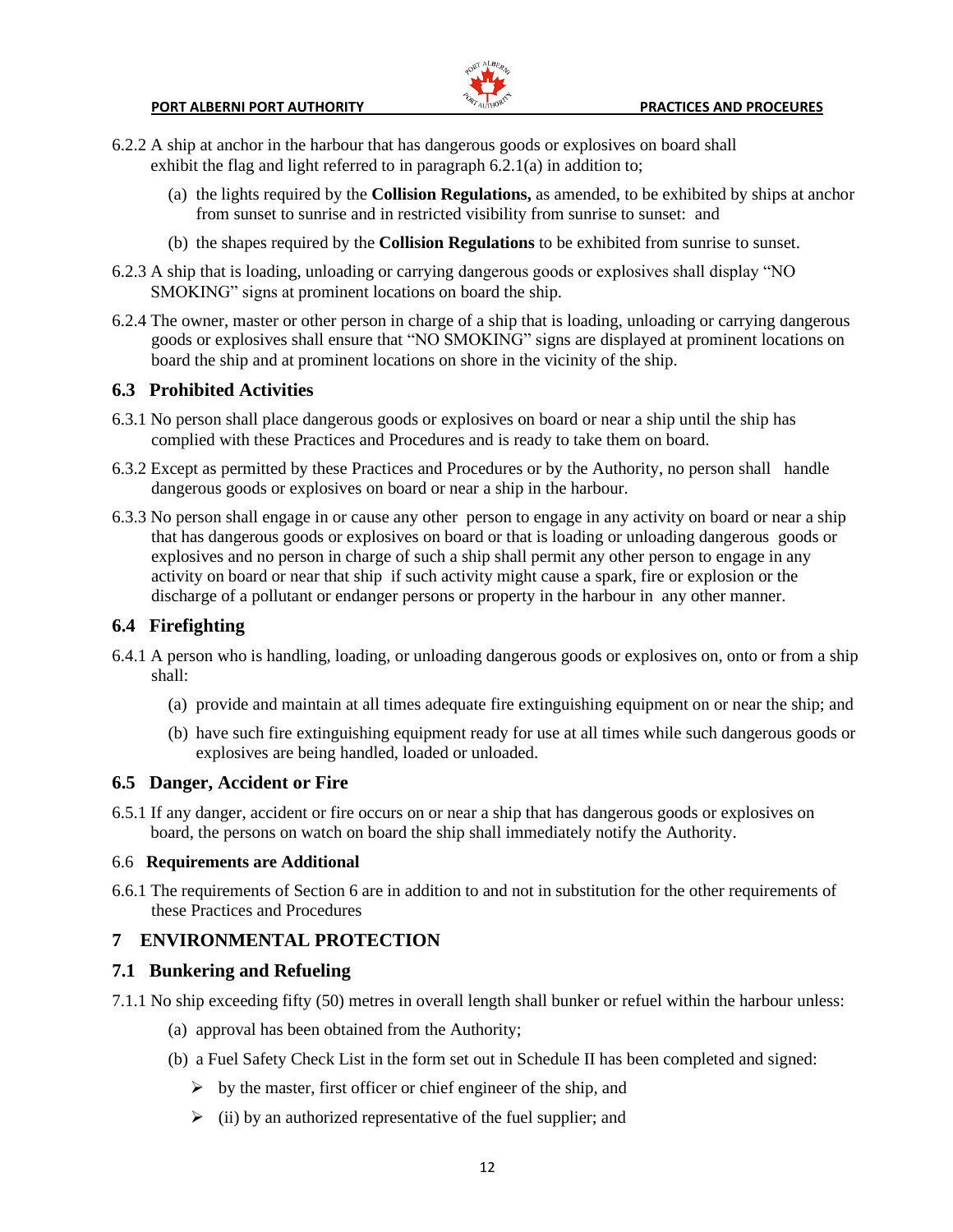

- 6.2.2 A ship at anchor in the harbour that has dangerous goods or explosives on board shall exhibit the flag and light referred to in paragraph 6.2.1(a) in addition to;
	- (a) the lights required by the **Collision Regulations,** as amended, to be exhibited by ships at anchor from sunset to sunrise and in restricted visibility from sunrise to sunset: and
	- (b) the shapes required by the **Collision Regulations** to be exhibited from sunrise to sunset.
- 6.2.3 A ship that is loading, unloading or carrying dangerous goods or explosives shall display "NO SMOKING" signs at prominent locations on board the ship.
- 6.2.4 The owner, master or other person in charge of a ship that is loading, unloading or carrying dangerous goods or explosives shall ensure that "NO SMOKING" signs are displayed at prominent locations on board the ship and at prominent locations on shore in the vicinity of the ship.

#### **6.3 Prohibited Activities**

- 6.3.1 No person shall place dangerous goods or explosives on board or near a ship until the ship has complied with these Practices and Procedures and is ready to take them on board.
- 6.3.2 Except as permitted by these Practices and Procedures or by the Authority, no person shall handle dangerous goods or explosives on board or near a ship in the harbour.
- 6.3.3 No person shall engage in or cause any other person to engage in any activity on board or near a ship that has dangerous goods or explosives on board or that is loading or unloading dangerous goods or explosives and no person in charge of such a ship shall permit any other person to engage in any activity on board or near that ship if such activity might cause a spark, fire or explosion or the discharge of a pollutant or endanger persons or property in the harbour in any other manner.

#### **6.4 Firefighting**

- 6.4.1 A person who is handling, loading, or unloading dangerous goods or explosives on, onto or from a ship shall:
	- (a) provide and maintain at all times adequate fire extinguishing equipment on or near the ship; and
	- (b) have such fire extinguishing equipment ready for use at all times while such dangerous goods or explosives are being handled, loaded or unloaded.

#### **6.5 Danger, Accident or Fire**

6.5.1 If any danger, accident or fire occurs on or near a ship that has dangerous goods or explosives on board, the persons on watch on board the ship shall immediately notify the Authority.

#### 6.6 **Requirements are Additional**

6.6.1 The requirements of Section 6 are in addition to and not in substitution for the other requirements of these Practices and Procedures

### **7 ENVIRONMENTAL PROTECTION**

#### **7.1 Bunkering and Refueling**

7.1.1 No ship exceeding fifty (50) metres in overall length shall bunker or refuel within the harbour unless:

- (a) approval has been obtained from the Authority;
- (b) a Fuel Safety Check List in the form set out in Schedule II has been completed and signed:
	- $\triangleright$  by the master, first officer or chief engineer of the ship, and
	- $\triangleright$  (ii) by an authorized representative of the fuel supplier; and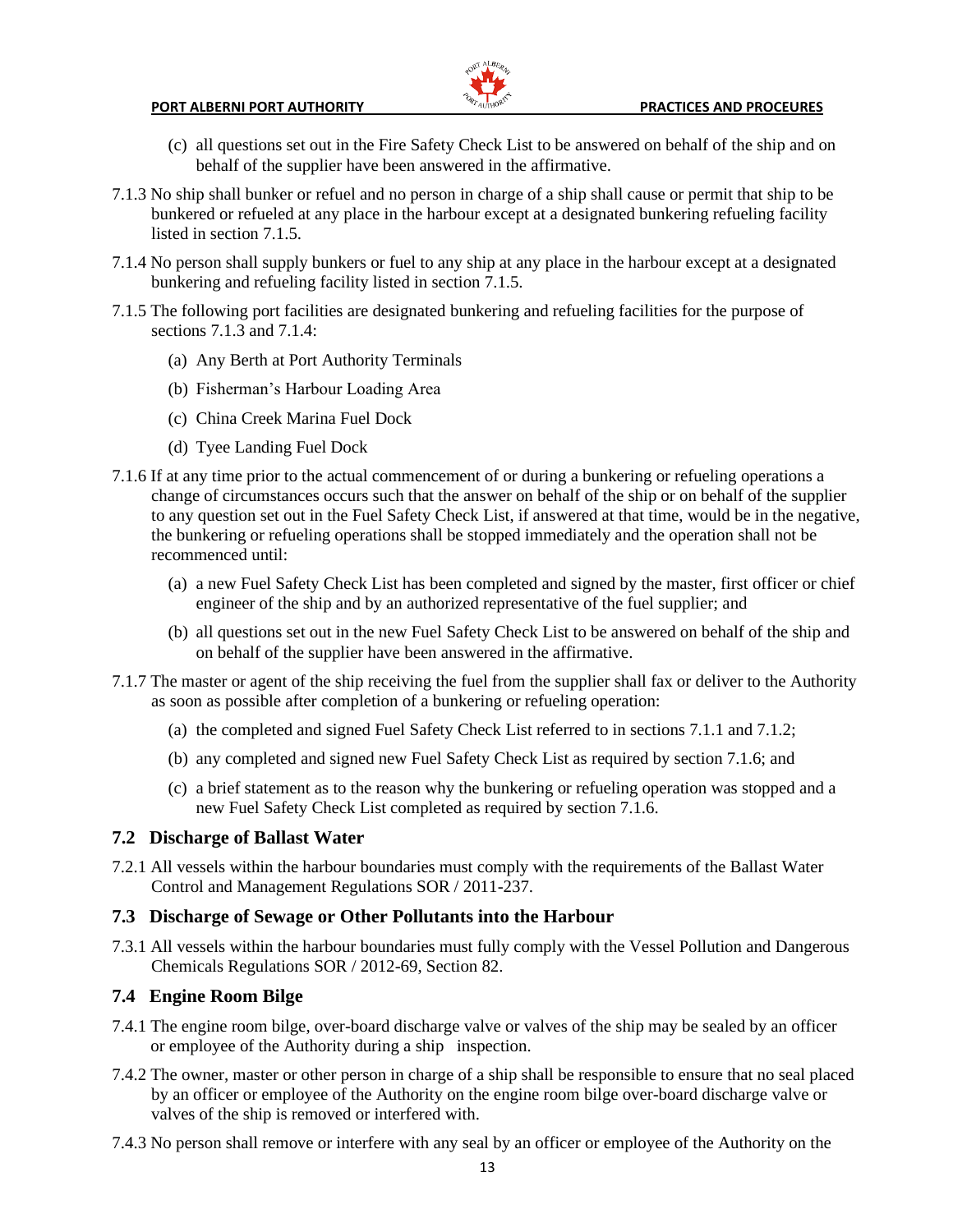

- (c) all questions set out in the Fire Safety Check List to be answered on behalf of the ship and on behalf of the supplier have been answered in the affirmative.
- 7.1.3 No ship shall bunker or refuel and no person in charge of a ship shall cause or permit that ship to be bunkered or refueled at any place in the harbour except at a designated bunkering refueling facility listed in section 7.1.5.
- 7.1.4 No person shall supply bunkers or fuel to any ship at any place in the harbour except at a designated bunkering and refueling facility listed in section 7.1.5.
- 7.1.5 The following port facilities are designated bunkering and refueling facilities for the purpose of sections 7.1.3 and 7.1.4:
	- (a) Any Berth at Port Authority Terminals
	- (b) Fisherman's Harbour Loading Area
	- (c) China Creek Marina Fuel Dock
	- (d) Tyee Landing Fuel Dock
- 7.1.6 If at any time prior to the actual commencement of or during a bunkering or refueling operations a change of circumstances occurs such that the answer on behalf of the ship or on behalf of the supplier to any question set out in the Fuel Safety Check List, if answered at that time, would be in the negative, the bunkering or refueling operations shall be stopped immediately and the operation shall not be recommenced until:
	- (a) a new Fuel Safety Check List has been completed and signed by the master, first officer or chief engineer of the ship and by an authorized representative of the fuel supplier; and
	- (b) all questions set out in the new Fuel Safety Check List to be answered on behalf of the ship and on behalf of the supplier have been answered in the affirmative.
- 7.1.7 The master or agent of the ship receiving the fuel from the supplier shall fax or deliver to the Authority as soon as possible after completion of a bunkering or refueling operation:
	- (a) the completed and signed Fuel Safety Check List referred to in sections 7.1.1 and 7.1.2;
	- (b) any completed and signed new Fuel Safety Check List as required by section 7.1.6; and
	- (c) a brief statement as to the reason why the bunkering or refueling operation was stopped and a new Fuel Safety Check List completed as required by section 7.1.6.

#### **7.2 Discharge of Ballast Water**

7.2.1 All vessels within the harbour boundaries must comply with the requirements of the Ballast Water Control and Management Regulations SOR / 2011-237.

#### **7.3 Discharge of Sewage or Other Pollutants into the Harbour**

7.3.1 All vessels within the harbour boundaries must fully comply with the Vessel Pollution and Dangerous Chemicals Regulations SOR / 2012-69, Section 82.

#### **7.4 Engine Room Bilge**

- 7.4.1 The engine room bilge, over-board discharge valve or valves of the ship may be sealed by an officer or employee of the Authority during a ship inspection.
- 7.4.2 The owner, master or other person in charge of a ship shall be responsible to ensure that no seal placed by an officer or employee of the Authority on the engine room bilge over-board discharge valve or valves of the ship is removed or interfered with.
- 7.4.3 No person shall remove or interfere with any seal by an officer or employee of the Authority on the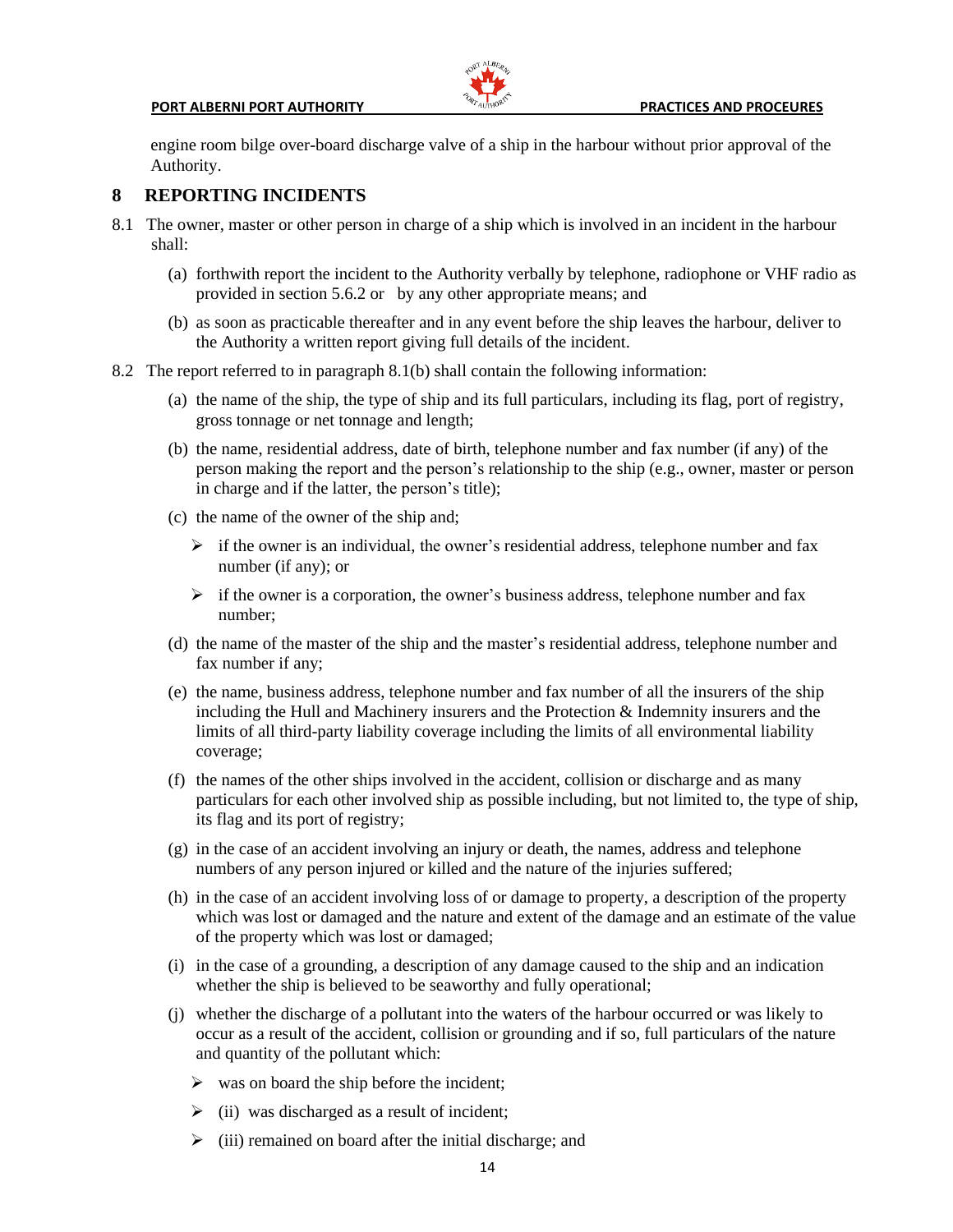

 engine room bilge over-board discharge valve of a ship in the harbour without prior approval of the Authority.

#### **8 REPORTING INCIDENTS**

- 8.1 The owner, master or other person in charge of a ship which is involved in an incident in the harbour shall:
	- (a) forthwith report the incident to the Authority verbally by telephone, radiophone or VHF radio as provided in section 5.6.2 or by any other appropriate means; and
	- (b) as soon as practicable thereafter and in any event before the ship leaves the harbour, deliver to the Authority a written report giving full details of the incident.
- 8.2 The report referred to in paragraph 8.1(b) shall contain the following information:
	- (a) the name of the ship, the type of ship and its full particulars, including its flag, port of registry, gross tonnage or net tonnage and length;
	- (b) the name, residential address, date of birth, telephone number and fax number (if any) of the person making the report and the person's relationship to the ship (e.g., owner, master or person in charge and if the latter, the person's title);
	- (c) the name of the owner of the ship and;
		- $\triangleright$  if the owner is an individual, the owner's residential address, telephone number and fax number (if any); or
		- $\triangleright$  if the owner is a corporation, the owner's business address, telephone number and fax number;
	- (d) the name of the master of the ship and the master's residential address, telephone number and fax number if any;
	- (e) the name, business address, telephone number and fax number of all the insurers of the ship including the Hull and Machinery insurers and the Protection & Indemnity insurers and the limits of all third-party liability coverage including the limits of all environmental liability coverage;
	- (f) the names of the other ships involved in the accident, collision or discharge and as many particulars for each other involved ship as possible including, but not limited to, the type of ship, its flag and its port of registry;
	- (g) in the case of an accident involving an injury or death, the names, address and telephone numbers of any person injured or killed and the nature of the injuries suffered;
	- (h) in the case of an accident involving loss of or damage to property, a description of the property which was lost or damaged and the nature and extent of the damage and an estimate of the value of the property which was lost or damaged;
	- (i) in the case of a grounding, a description of any damage caused to the ship and an indication whether the ship is believed to be seaworthy and fully operational;
	- (j) whether the discharge of a pollutant into the waters of the harbour occurred or was likely to occur as a result of the accident, collision or grounding and if so, full particulars of the nature and quantity of the pollutant which:
		- $\triangleright$  was on board the ship before the incident;
		- $\triangleright$  (ii) was discharged as a result of incident;
		- $\triangleright$  (iii) remained on board after the initial discharge; and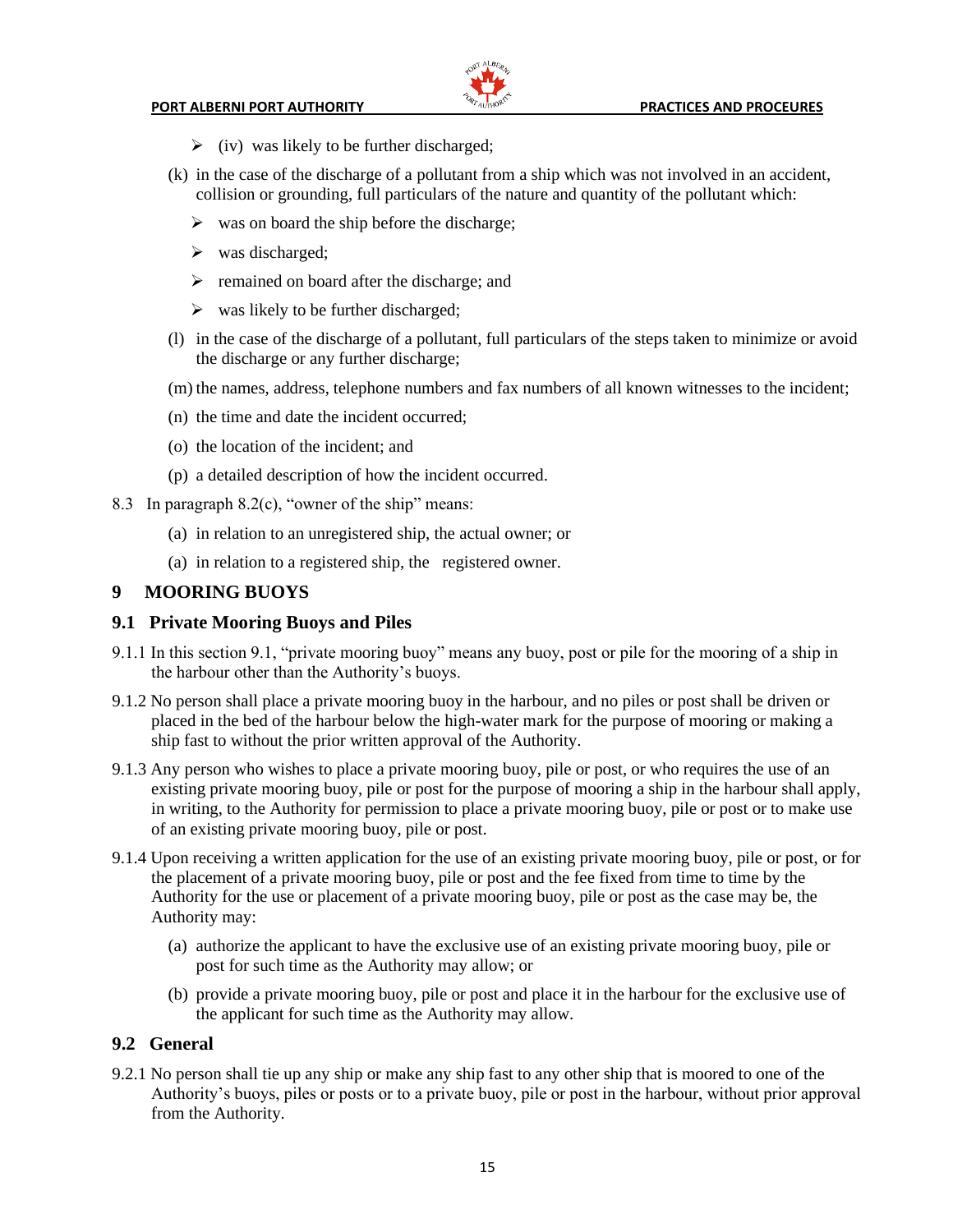

- $\triangleright$  (iv) was likely to be further discharged;
- (k) in the case of the discharge of a pollutant from a ship which was not involved in an accident, collision or grounding, full particulars of the nature and quantity of the pollutant which:
	- $\triangleright$  was on board the ship before the discharge;
	- $\triangleright$  was discharged;
	- ➢ remained on board after the discharge; and
	- $\triangleright$  was likely to be further discharged;
- (l) in the case of the discharge of a pollutant, full particulars of the steps taken to minimize or avoid the discharge or any further discharge;
- (m) the names, address, telephone numbers and fax numbers of all known witnesses to the incident;
- (n) the time and date the incident occurred;
- (o) the location of the incident; and
- (p) a detailed description of how the incident occurred.
- 8.3 In paragraph 8.2(c), "owner of the ship" means:
	- (a) in relation to an unregistered ship, the actual owner; or
	- (a) in relation to a registered ship, the registered owner.

#### **9 MOORING BUOYS**

#### **9.1 Private Mooring Buoys and Piles**

- 9.1.1 In this section 9.1, "private mooring buoy" means any buoy, post or pile for the mooring of a ship in the harbour other than the Authority's buoys.
- 9.1.2 No person shall place a private mooring buoy in the harbour, and no piles or post shall be driven or placed in the bed of the harbour below the high-water mark for the purpose of mooring or making a ship fast to without the prior written approval of the Authority.
- 9.1.3 Any person who wishes to place a private mooring buoy, pile or post, or who requires the use of an existing private mooring buoy, pile or post for the purpose of mooring a ship in the harbour shall apply, in writing, to the Authority for permission to place a private mooring buoy, pile or post or to make use of an existing private mooring buoy, pile or post.
- 9.1.4 Upon receiving a written application for the use of an existing private mooring buoy, pile or post, or for the placement of a private mooring buoy, pile or post and the fee fixed from time to time by the Authority for the use or placement of a private mooring buoy, pile or post as the case may be, the Authority may:
	- (a) authorize the applicant to have the exclusive use of an existing private mooring buoy, pile or post for such time as the Authority may allow; or
	- (b) provide a private mooring buoy, pile or post and place it in the harbour for the exclusive use of the applicant for such time as the Authority may allow.

#### **9.2 General**

9.2.1 No person shall tie up any ship or make any ship fast to any other ship that is moored to one of the Authority's buoys, piles or posts or to a private buoy, pile or post in the harbour, without prior approval from the Authority.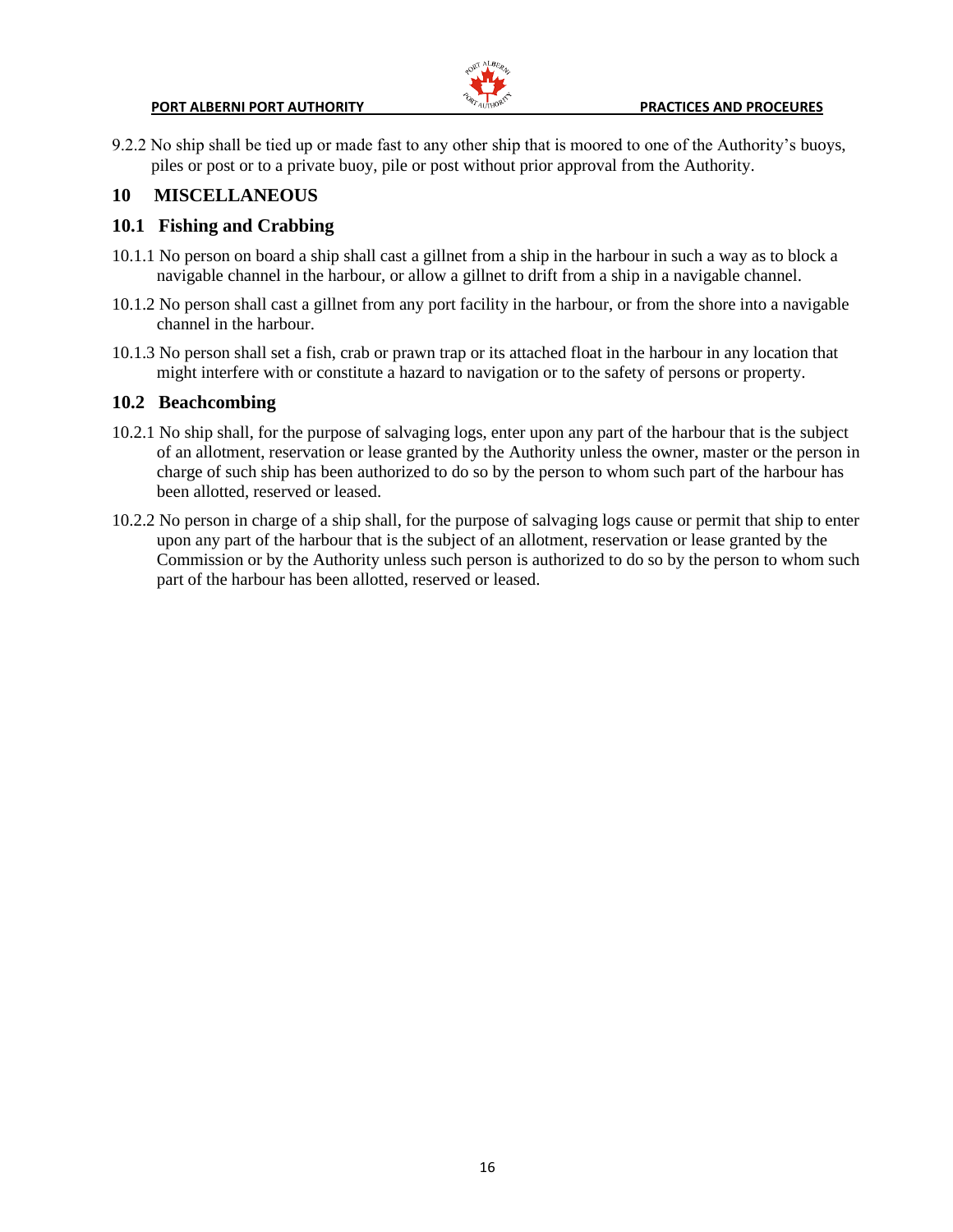

9.2.2 No ship shall be tied up or made fast to any other ship that is moored to one of the Authority's buoys, piles or post or to a private buoy, pile or post without prior approval from the Authority.

#### **10 MISCELLANEOUS**

#### **10.1 Fishing and Crabbing**

- 10.1.1 No person on board a ship shall cast a gillnet from a ship in the harbour in such a way as to block a navigable channel in the harbour, or allow a gillnet to drift from a ship in a navigable channel.
- 10.1.2 No person shall cast a gillnet from any port facility in the harbour, or from the shore into a navigable channel in the harbour.
- 10.1.3 No person shall set a fish, crab or prawn trap or its attached float in the harbour in any location that might interfere with or constitute a hazard to navigation or to the safety of persons or property.

#### **10.2 Beachcombing**

- 10.2.1 No ship shall, for the purpose of salvaging logs, enter upon any part of the harbour that is the subject of an allotment, reservation or lease granted by the Authority unless the owner, master or the person in charge of such ship has been authorized to do so by the person to whom such part of the harbour has been allotted, reserved or leased.
- 10.2.2 No person in charge of a ship shall, for the purpose of salvaging logs cause or permit that ship to enter upon any part of the harbour that is the subject of an allotment, reservation or lease granted by the Commission or by the Authority unless such person is authorized to do so by the person to whom such part of the harbour has been allotted, reserved or leased.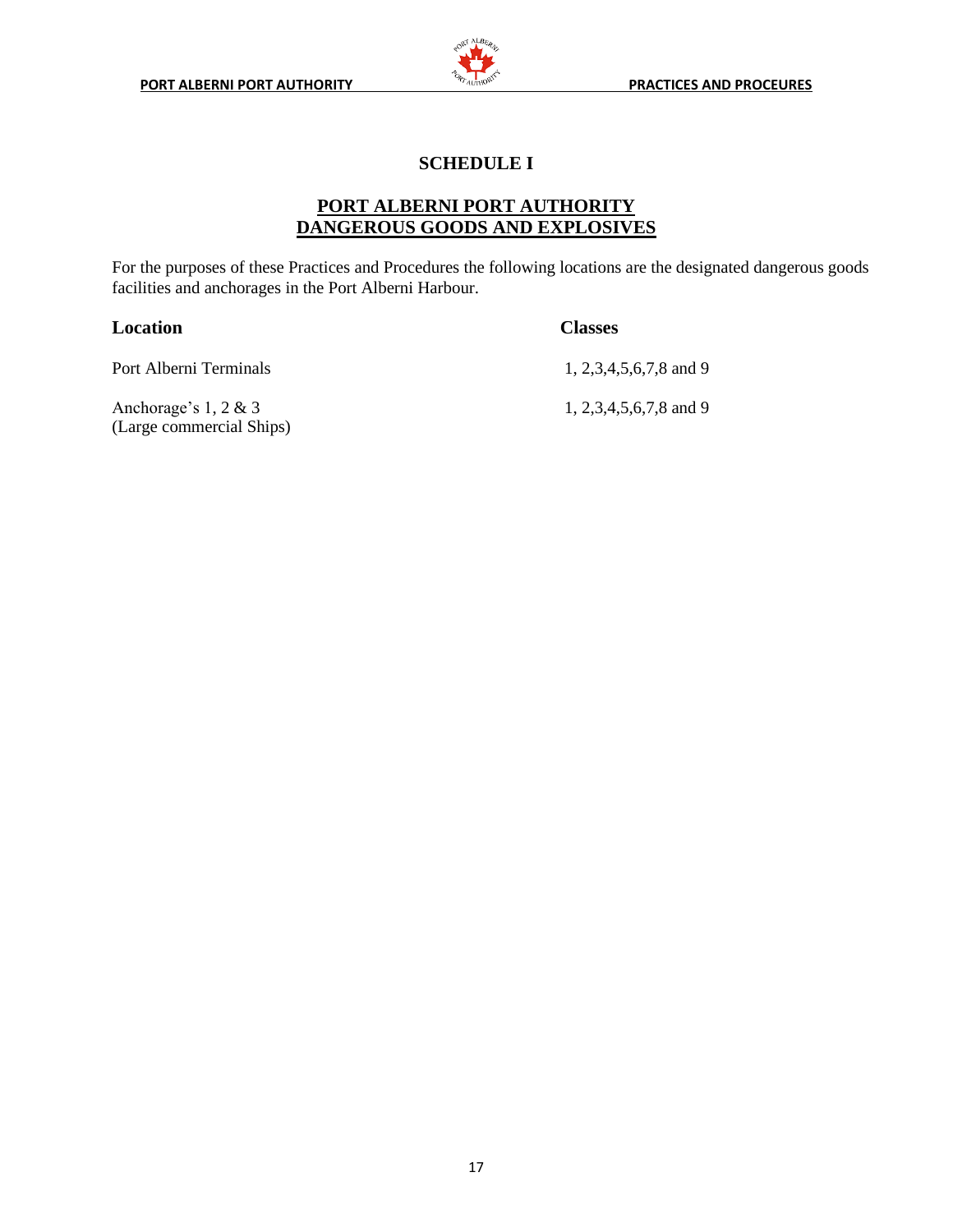

# **SCHEDULE I**

# **PORT ALBERNI PORT AUTHORITY DANGEROUS GOODS AND EXPLOSIVES**

For the purposes of these Practices and Procedures the following locations are the designated dangerous goods facilities and anchorages in the Port Alberni Harbour.

### **Location Classes**

Port Alberni Terminals 1, 2,3,4,5,6,7,8 and 9

Anchorage's 1, 2 & 3 1, 2,3,4,5,6,7,8 and 9 (Large commercial Ships)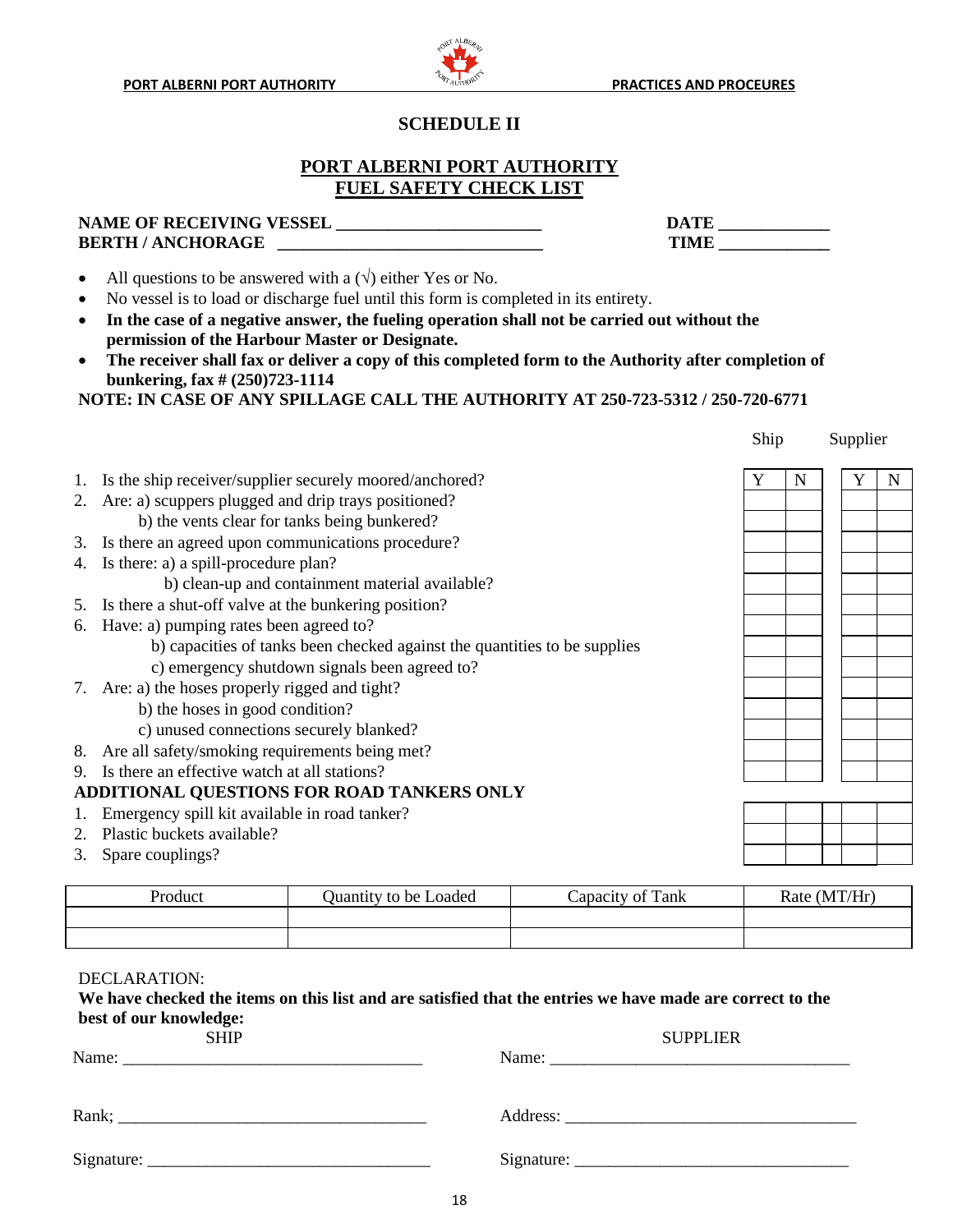# **SCHEDULE II**

# **PORT ALBERNI PORT AUTHORITY FUEL SAFETY CHECK LIST**

#### **NAME OF RECEIVING VESSEL \_\_\_\_\_\_\_\_\_\_\_\_\_\_\_\_\_\_\_\_\_\_\_\_ DATE \_\_\_\_\_\_\_\_\_\_\_\_\_ BERTH / ANCHORAGE \_\_\_\_\_\_\_\_\_\_\_\_\_\_\_\_\_\_\_\_\_\_\_\_\_\_\_\_\_\_\_ TIME \_\_\_\_\_\_\_\_\_\_\_\_\_**

- All questions to be answered with a  $(\sqrt{})$  either Yes or No.
- No vessel is to load or discharge fuel until this form is completed in its entirety.
- **In the case of a negative answer, the fueling operation shall not be carried out without the permission of the Harbour Master or Designate.**
- **The receiver shall fax or deliver a copy of this completed form to the Authority after completion of bunkering, fax # (250)723-1114**

#### **NOTE: IN CASE OF ANY SPILLAGE CALL THE AUTHORITY AT 250-723-5312 / 250-720-6771**

|                                            | 1. Is the ship receiver/supplier securely moored/anchored?                |  | N | Y |  | N |
|--------------------------------------------|---------------------------------------------------------------------------|--|---|---|--|---|
| 2.                                         | Are: a) scuppers plugged and drip trays positioned?                       |  |   |   |  |   |
|                                            | b) the vents clear for tanks being bunkered?                              |  |   |   |  |   |
|                                            | 3. Is there an agreed upon communications procedure?                      |  |   |   |  |   |
| 4.                                         | Is there: a) a spill-procedure plan?                                      |  |   |   |  |   |
|                                            | b) clean-up and containment material available?                           |  |   |   |  |   |
|                                            | 5. Is there a shut-off valve at the bunkering position?                   |  |   |   |  |   |
| 6.                                         | Have: a) pumping rates been agreed to?                                    |  |   |   |  |   |
|                                            | b) capacities of tanks been checked against the quantities to be supplies |  |   |   |  |   |
|                                            | c) emergency shutdown signals been agreed to?                             |  |   |   |  |   |
|                                            | 7. Are: a) the hoses properly rigged and tight?                           |  |   |   |  |   |
|                                            | b) the hoses in good condition?                                           |  |   |   |  |   |
|                                            | c) unused connections securely blanked?                                   |  |   |   |  |   |
| 8.                                         | Are all safety/smoking requirements being met?                            |  |   |   |  |   |
| 9.                                         | Is there an effective watch at all stations?                              |  |   |   |  |   |
| ADDITIONAL QUESTIONS FOR ROAD TANKERS ONLY |                                                                           |  |   |   |  |   |
|                                            | Emergency spill kit available in road tanker?                             |  |   |   |  |   |
|                                            | Plastic buckets available?                                                |  |   |   |  |   |
|                                            | 3. Spare couplings?                                                       |  |   |   |  |   |

| Product | Quantity to be Loaded | Capacity of Tank | Rate (MT/Hr) |
|---------|-----------------------|------------------|--------------|
|         |                       |                  |              |
|         |                       |                  |              |

### DECLARATION:

**We have checked the items on this list and are satisfied that the entries we have made are correct to the best of our knowledge:**

| <b>SHIP</b><br>Name:<br><u> 1980 - Andrea Andrewski, fransk politik (d. 1980)</u> | <b>SUPPLIER</b> |
|-----------------------------------------------------------------------------------|-----------------|
| Rank;                                                                             |                 |
|                                                                                   |                 |

Ship Supplier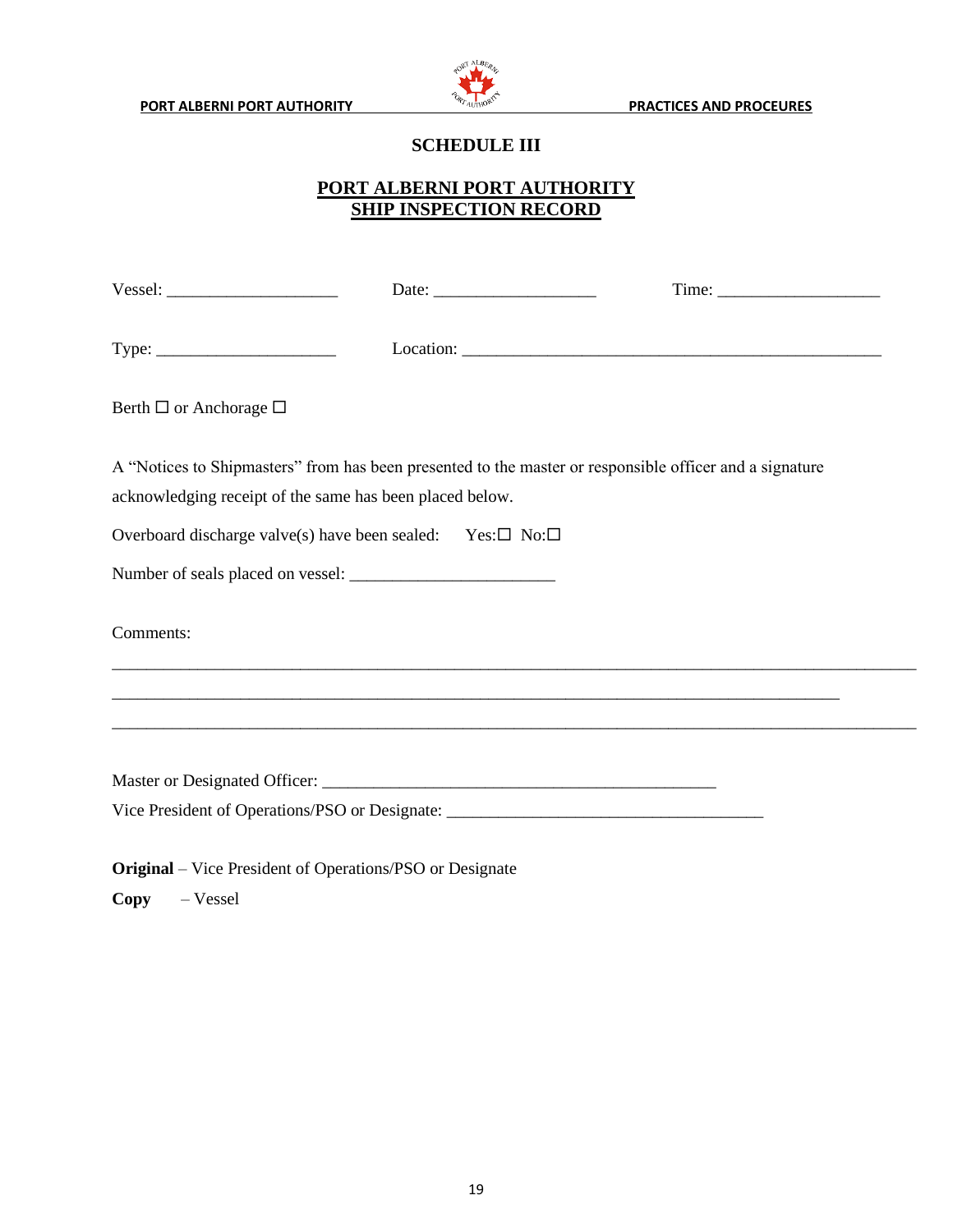

# **SCHEDULE III**

# **PORT ALBERNI PORT AUTHORITY SHIP INSPECTION RECORD**

| Vessel:                                                                                                                                                             |  |
|---------------------------------------------------------------------------------------------------------------------------------------------------------------------|--|
|                                                                                                                                                                     |  |
| Berth $\Box$ or Anchorage $\Box$                                                                                                                                    |  |
| A "Notices to Shipmasters" from has been presented to the master or responsible officer and a signature<br>acknowledging receipt of the same has been placed below. |  |
| Overboard discharge valve(s) have been sealed: Yes: $\square$ No: $\square$                                                                                         |  |
|                                                                                                                                                                     |  |
| Comments:                                                                                                                                                           |  |
|                                                                                                                                                                     |  |
|                                                                                                                                                                     |  |
| Vice President of Operations/PSO or Designate: __________________________________                                                                                   |  |
| <b>Original</b> – Vice President of Operations/PSO or Designate                                                                                                     |  |

**Copy** – Vessel